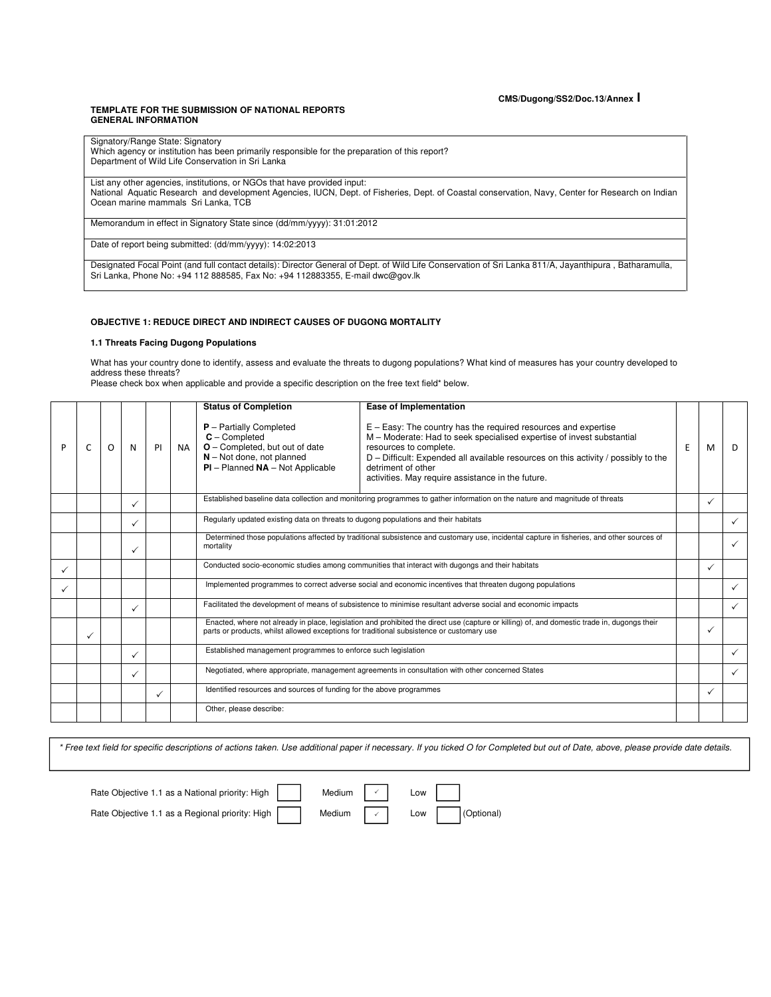#### **TEMPLATE FOR THE SUBMISSION OF NATIONAL REPORTS GENERAL INFORMATION**

| Signatory/Range State: Signatory<br>Which agency or institution has been primarily responsible for the preparation of this report?<br>Department of Wild Life Conservation in Sri Lanka                                                 |
|-----------------------------------------------------------------------------------------------------------------------------------------------------------------------------------------------------------------------------------------|
| List any other agencies, institutions, or NGOs that have provided input:                                                                                                                                                                |
| National Aquatic Research and development Agencies, IUCN, Dept. of Fisheries, Dept. of Coastal conservation, Navy, Center for Research on Indian                                                                                        |
| Ocean marine mammals Sri Lanka, TCB                                                                                                                                                                                                     |
|                                                                                                                                                                                                                                         |
| Memorandum in effect in Signatory State since (dd/mm/yyyy): 31:01:2012                                                                                                                                                                  |
| Date of report being submitted: (dd/mm/yyyy): 14:02:2013                                                                                                                                                                                |
|                                                                                                                                                                                                                                         |
| Designated Focal Point (and full contact details): Director General of Dept. of Wild Life Conservation of Sri Lanka 811/A, Jayanthipura, Batharamulla,<br>Sri Lanka, Phone No: +94 112 888585, Fax No: +94 112883355, E-mail dwc@qov.lk |
|                                                                                                                                                                                                                                         |

#### **OBJECTIVE 1: REDUCE DIRECT AND INDIRECT CAUSES OF DUGONG MORTALITY**

## **1.1 Threats Facing Dugong Populations**

What has your country done to identify, assess and evaluate the threats to dugong populations? What kind of measures has your country developed to address these threats?

Please check box when applicable and provide a specific description on the free text field\* below.

|   |   |   |   |    |      | <b>Status of Completion</b>                                                                                                                             | Ease of Implementation                                                                                                                                                                                                                                                                                                                |   |              |              |
|---|---|---|---|----|------|---------------------------------------------------------------------------------------------------------------------------------------------------------|---------------------------------------------------------------------------------------------------------------------------------------------------------------------------------------------------------------------------------------------------------------------------------------------------------------------------------------|---|--------------|--------------|
| P | C | O | N | PI | NA I | $P$ – Partially Completed<br>$C$ – Completed<br>$O$ – Completed, but out of date<br>$N - Not$ done, not planned<br>$PI$ – Planned $NA$ – Not Applicable | $E - Easy$ : The country has the required resources and expertise<br>M - Moderate: Had to seek specialised expertise of invest substantial<br>resources to complete.<br>D - Difficult: Expended all available resources on this activity / possibly to the<br>detriment of other<br>activities. May require assistance in the future. | E | м            | D            |
|   |   |   | ✓ |    |      |                                                                                                                                                         | Established baseline data collection and monitoring programmes to gather information on the nature and magnitude of threats                                                                                                                                                                                                           |   | ✓            |              |
|   |   |   | ✓ |    |      |                                                                                                                                                         | Regularly updated existing data on threats to dugong populations and their habitats                                                                                                                                                                                                                                                   |   |              |              |
|   |   |   | ✓ |    |      | mortality                                                                                                                                               | Determined those populations affected by traditional subsistence and customary use, incidental capture in fisheries, and other sources of                                                                                                                                                                                             |   |              |              |
|   |   |   |   |    |      |                                                                                                                                                         | Conducted socio-economic studies among communities that interact with dugongs and their habitats                                                                                                                                                                                                                                      |   |              |              |
|   |   |   |   |    |      |                                                                                                                                                         | Implemented programmes to correct adverse social and economic incentives that threaten dugong populations                                                                                                                                                                                                                             |   |              |              |
|   |   |   | ✓ |    |      |                                                                                                                                                         | Facilitated the development of means of subsistence to minimise resultant adverse social and economic impacts                                                                                                                                                                                                                         |   |              | $\checkmark$ |
|   | ✓ |   |   |    |      | parts or products, whilst allowed exceptions for traditional subsistence or customary use                                                               | Enacted, where not already in place, legislation and prohibited the direct use (capture or killing) of, and domestic trade in, dugongs their                                                                                                                                                                                          |   |              |              |
|   |   |   | ✓ |    |      | Established management programmes to enforce such legislation                                                                                           |                                                                                                                                                                                                                                                                                                                                       |   |              | $\checkmark$ |
|   |   |   | ✓ |    |      |                                                                                                                                                         | Negotiated, where appropriate, management agreements in consultation with other concerned States                                                                                                                                                                                                                                      |   |              | $\checkmark$ |
|   |   |   |   | ✓  |      | Identified resources and sources of funding for the above programmes                                                                                    |                                                                                                                                                                                                                                                                                                                                       |   | $\checkmark$ |              |
|   |   |   |   |    |      | Other, please describe:                                                                                                                                 |                                                                                                                                                                                                                                                                                                                                       |   |              |              |

\* Free text field for specific descriptions of actions taken. Use additional paper if necessary. If you ticked O for Completed but out of Date, above, please provide date details.

 $\checkmark$ ✓

Rate Objective 1.1 as a National priority: High  $\vert \vert$  Medium  $\vert \vert \vert$  Low Rate Objective 1.1 as a Regional priority: High Medium  $\sim$  Low (Optional)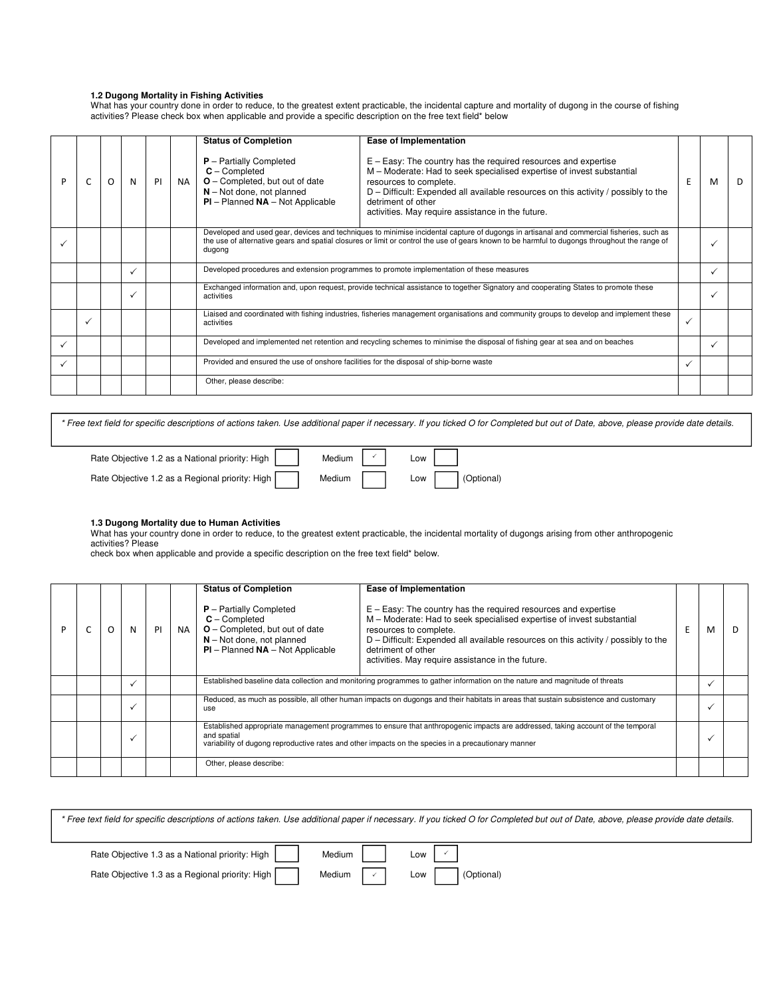# **1.2 Dugong Mortality in Fishing Activities**

What has your country done in order to reduce, to the greatest extent practicable, the incidental capture and mortality of dugong in the course of fishing activities? Please check box when applicable and provide a specific description on the free text field\* below

|              |   |              |    |           | <b>Status of Completion</b>                                                                                                                                  | Ease of Implementation                                                                                                                                                                                                                                                                                                                |   |   |   |
|--------------|---|--------------|----|-----------|--------------------------------------------------------------------------------------------------------------------------------------------------------------|---------------------------------------------------------------------------------------------------------------------------------------------------------------------------------------------------------------------------------------------------------------------------------------------------------------------------------------|---|---|---|
|              | O | N            | PI | <b>NA</b> | $P -$ Partially Completed<br>$C$ – Completed<br><b>O</b> – Completed, but out of date<br>$N - Not$ done, not planned<br>$PI$ – Planned $NA$ – Not Applicable | $E - Easy$ : The country has the required resources and expertise<br>M - Moderate: Had to seek specialised expertise of invest substantial<br>resources to complete.<br>D - Difficult: Expended all available resources on this activity / possibly to the<br>detriment of other<br>activities. May require assistance in the future. | E | M | D |
|              |   |              |    |           | dugong                                                                                                                                                       | Developed and used gear, devices and techniques to minimise incidental capture of dugongs in artisanal and commercial fisheries, such as<br>the use of alternative gears and spatial closures or limit or control the use of gears known to be harmful to dugongs throughout the range of                                             |   |   |   |
|              |   |              |    |           |                                                                                                                                                              | Developed procedures and extension programmes to promote implementation of these measures                                                                                                                                                                                                                                             |   |   |   |
|              |   | $\checkmark$ |    |           | activities                                                                                                                                                   | Exchanged information and, upon request, provide technical assistance to together Signatory and cooperating States to promote these                                                                                                                                                                                                   |   |   |   |
| $\checkmark$ |   |              |    |           | activities                                                                                                                                                   | Liaised and coordinated with fishing industries, fisheries management organisations and community groups to develop and implement these                                                                                                                                                                                               | ✓ |   |   |
|              |   |              |    |           |                                                                                                                                                              | Developed and implemented net retention and recycling schemes to minimise the disposal of fishing gear at sea and on beaches                                                                                                                                                                                                          |   |   |   |
|              |   |              |    |           | Provided and ensured the use of onshore facilities for the disposal of ship-borne waste                                                                      |                                                                                                                                                                                                                                                                                                                                       | ✓ |   |   |
|              |   |              |    |           | Other, please describe:                                                                                                                                      |                                                                                                                                                                                                                                                                                                                                       |   |   |   |

\* Free text field for specific descriptions of actions taken. Use additional paper if necessary. If you ticked O for Completed but out of Date, above, please provide date details.

| Rate Objective 1.2 as a National priority: High | Medium $\vert \cdot \rangle$ | Low   |            |
|-------------------------------------------------|------------------------------|-------|------------|
| Rate Objective 1.2 as a Regional priority: High | Medium                       | Low 1 | (Optional) |

# **1.3 Dugong Mortality due to Human Activities**

What has your country done in order to reduce, to the greatest extent practicable, the incidental mortality of dugongs arising from other anthropogenic activities? Please

check box when applicable and provide a specific description on the free text field\* below.

|  | Ο | N | PI | <b>NA</b> | <b>Status of Completion</b><br>$P -$ Partially Completed<br>$C -$ Completed<br>$O$ – Completed, but out of date<br>$N - Not$ done, not planned<br>$PI$ – Planned $NA$ – Not Applicable                                                                 | Ease of Implementation<br>$E - Easy$ : The country has the required resources and expertise<br>M – Moderate: Had to seek specialised expertise of invest substantial<br>resources to complete.<br>$D$ – Difficult: Expended all available resources on this activity / possibly to the<br>detriment of other<br>activities. May require assistance in the future. | E | м | D. |
|--|---|---|----|-----------|--------------------------------------------------------------------------------------------------------------------------------------------------------------------------------------------------------------------------------------------------------|-------------------------------------------------------------------------------------------------------------------------------------------------------------------------------------------------------------------------------------------------------------------------------------------------------------------------------------------------------------------|---|---|----|
|  |   | ✓ |    |           |                                                                                                                                                                                                                                                        | Established baseline data collection and monitoring programmes to gather information on the nature and magnitude of threats                                                                                                                                                                                                                                       |   |   |    |
|  |   |   |    |           | use                                                                                                                                                                                                                                                    | Reduced, as much as possible, all other human impacts on dugongs and their habitats in areas that sustain subsistence and customary                                                                                                                                                                                                                               |   |   |    |
|  |   |   |    |           | Established appropriate management programmes to ensure that anthropogenic impacts are addressed, taking account of the temporal<br>and spatial<br>variability of dugong reproductive rates and other impacts on the species in a precautionary manner |                                                                                                                                                                                                                                                                                                                                                                   |   |   |    |
|  |   |   |    |           | Other, please describe:                                                                                                                                                                                                                                |                                                                                                                                                                                                                                                                                                                                                                   |   |   |    |

|                                                 |                            | * Free text field for specific descriptions of actions taken. Use additional paper if necessary. If you ticked O for Completed but out of Date, above, please provide date details. |
|-------------------------------------------------|----------------------------|-------------------------------------------------------------------------------------------------------------------------------------------------------------------------------------|
| Rate Objective 1.3 as a National priority: High | Medium                     | l ow                                                                                                                                                                                |
| Rate Objective 1.3 as a Regional priority: High | Medium $\vert \cdot \vert$ | Low<br>(Optional)                                                                                                                                                                   |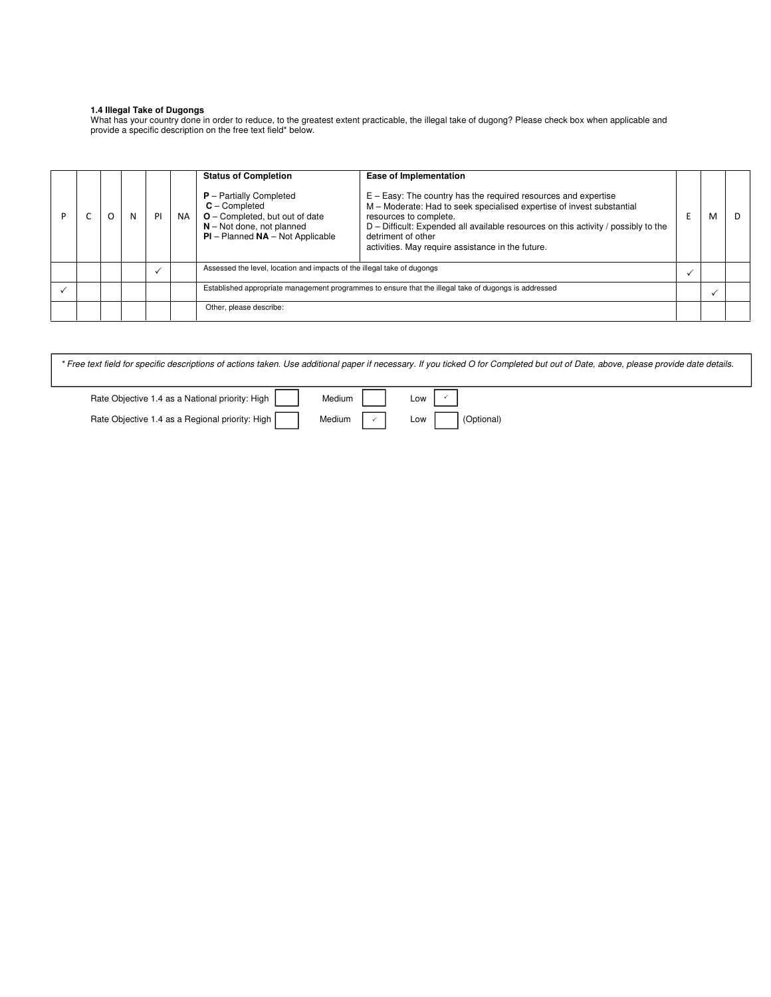#### **1.4 Illegal Take of Dugongs**

What has your country done in order to reduce, to the greatest extent practicable, the illegal take of dugong? Please check box when applicable and provide a specific description on the free text field\* below.

|  | N | PI | NA. | <b>Status of Completion</b><br>$P -$ Partially Completed<br>$C -$ Completed<br>O - Completed, but out of date<br>$N - Not$ done, not planned<br>$PI$ – Planned $NA$ – Not Applicable | Ease of Implementation<br>$E - Easy$ : The country has the required resources and expertise<br>M - Moderate: Had to seek specialised expertise of invest substantial<br>resources to complete.<br>D - Difficult: Expended all available resources on this activity / possibly to the<br>detriment of other<br>activities. May require assistance in the future. | M |  |
|--|---|----|-----|--------------------------------------------------------------------------------------------------------------------------------------------------------------------------------------|-----------------------------------------------------------------------------------------------------------------------------------------------------------------------------------------------------------------------------------------------------------------------------------------------------------------------------------------------------------------|---|--|
|  |   |    |     | Assessed the level, location and impacts of the illegal take of dugongs                                                                                                              |                                                                                                                                                                                                                                                                                                                                                                 |   |  |
|  |   |    |     | Established appropriate management programmes to ensure that the illegal take of dugongs is addressed                                                                                |                                                                                                                                                                                                                                                                                                                                                                 |   |  |
|  |   |    |     | Other, please describe:                                                                                                                                                              |                                                                                                                                                                                                                                                                                                                                                                 |   |  |

\* Free text field for specific descriptions of actions taken. Use additional paper if necessary. If you ticked O for Completed but out of Date, above, please provide date details.

| Rate Objective 1.4 as a National priority: High | Medium | Low |            |
|-------------------------------------------------|--------|-----|------------|
| Rate Objective 1.4 as a Regional priority: High | Medium | Low | (Optional) |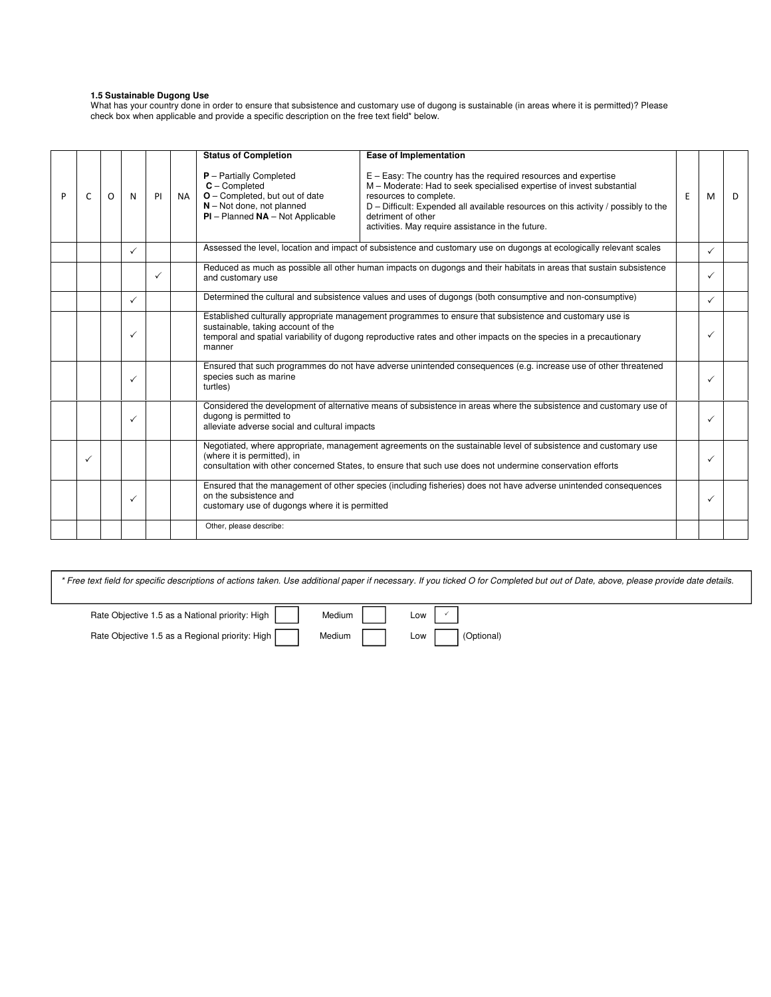#### **1.5 Sustainable Dugong Use**

What has your country done in order to ensure that subsistence and customary use of dugong is sustainable (in areas where it is permitted)? Please check box when applicable and provide a specific description on the free text field\* below.

|   |              |         |              |    |           | <b>Status of Completion</b>                                                                                                                      | <b>Ease of Implementation</b>                                                                                                                                                                                                                                                                                                         |    |   |    |
|---|--------------|---------|--------------|----|-----------|--------------------------------------------------------------------------------------------------------------------------------------------------|---------------------------------------------------------------------------------------------------------------------------------------------------------------------------------------------------------------------------------------------------------------------------------------------------------------------------------------|----|---|----|
| P | $\mathsf{C}$ | $\circ$ | N            | PI | <b>NA</b> | $P -$ Partially Completed<br>$C$ – Completed<br>O - Completed, but out of date<br>$N - Not$ done, not planned<br>$PI - Planned NA - Not Applied$ | $E - Easy$ : The country has the required resources and expertise<br>M - Moderate: Had to seek specialised expertise of invest substantial<br>resources to complete.<br>D - Difficult: Expended all available resources on this activity / possibly to the<br>detriment of other<br>activities. May require assistance in the future. | F. | M | D. |
|   |              |         | $\checkmark$ |    |           |                                                                                                                                                  | Assessed the level, location and impact of subsistence and customary use on dugongs at ecologically relevant scales                                                                                                                                                                                                                   |    |   |    |
|   |              |         |              | ✓  |           | and customary use                                                                                                                                | Reduced as much as possible all other human impacts on dugongs and their habitats in areas that sustain subsistence                                                                                                                                                                                                                   |    |   |    |
|   |              |         | $\checkmark$ |    |           |                                                                                                                                                  | Determined the cultural and subsistence values and uses of dugongs (both consumptive and non-consumptive)                                                                                                                                                                                                                             |    |   |    |
|   |              |         | ✓            |    |           | sustainable, taking account of the<br>manner                                                                                                     | Established culturally appropriate management programmes to ensure that subsistence and customary use is<br>temporal and spatial variability of dugong reproductive rates and other impacts on the species in a precautionary                                                                                                         |    |   |    |
|   |              |         | $\checkmark$ |    |           | species such as marine<br>turtles)                                                                                                               | Ensured that such programmes do not have adverse unintended consequences (e.g. increase use of other threatened                                                                                                                                                                                                                       |    |   |    |
|   |              |         | ✓            |    |           | dugong is permitted to<br>alleviate adverse social and cultural impacts                                                                          | Considered the development of alternative means of subsistence in areas where the subsistence and customary use of                                                                                                                                                                                                                    |    |   |    |
|   | ✓            |         |              |    |           | (where it is permitted), in                                                                                                                      | Negotiated, where appropriate, management agreements on the sustainable level of subsistence and customary use<br>consultation with other concerned States, to ensure that such use does not undermine conservation efforts                                                                                                           |    |   |    |
|   |              |         | $\checkmark$ |    |           | on the subsistence and<br>customary use of dugongs where it is permitted                                                                         | Ensured that the management of other species (including fisheries) does not have adverse unintended consequences                                                                                                                                                                                                                      |    |   |    |
|   |              |         |              |    |           | Other, please describe:                                                                                                                          |                                                                                                                                                                                                                                                                                                                                       |    |   |    |

| * Free text field for specific descriptions of actions taken. Use additional paper if necessary. If you ticked O for Completed but out of Date, above, please provide date details. |  |
|-------------------------------------------------------------------------------------------------------------------------------------------------------------------------------------|--|
|                                                                                                                                                                                     |  |

Rate Objective 1.5 as a National priority: High | | Medium | | Low Rate Objective 1.5 as a Regional priority: High Medium Medium Low Coptional)

 $\checkmark$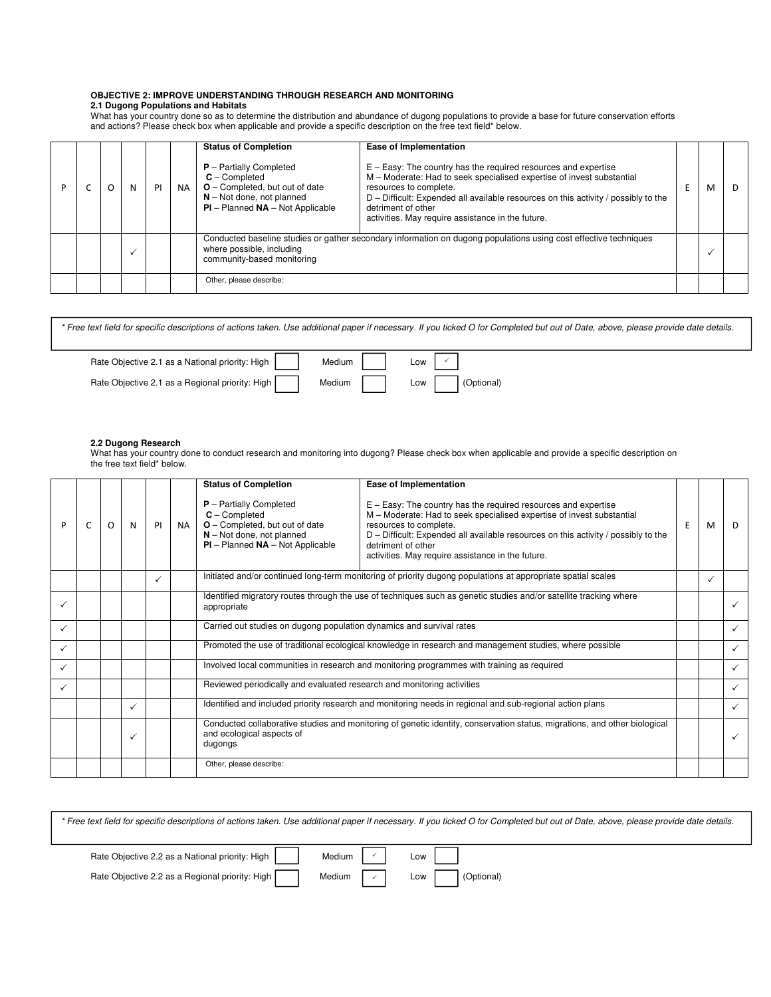# **OBJECTIVE 2: IMPROVE UNDERSTANDING THROUGH RESEARCH AND MONITORING**

# **2.1 Dugong Populations and Habitats**

What has your country done so as to determine the distribution and abundance of dugong populations to provide a base for future conservation efforts and actions? Please check box when applicable and provide a specific description on the free text field\* below.

|  |  | PI | <b>NA</b> | <b>Status of Completion</b><br><b>P</b> - Partially Completed<br>$C -$ Completed<br>$O$ – Completed, but out of date<br>$N - Not$ done, not planned<br>$PI$ – Planned $NA$ – Not Applicable | Ease of Implementation<br>$E - Easy$ : The country has the required resources and expertise<br>M - Moderate: Had to seek specialised expertise of invest substantial<br>resources to complete.<br>$D$ – Difficult: Expended all available resources on this activity / possibly to the<br>detriment of other<br>activities. May require assistance in the future. | м | D |
|--|--|----|-----------|---------------------------------------------------------------------------------------------------------------------------------------------------------------------------------------------|-------------------------------------------------------------------------------------------------------------------------------------------------------------------------------------------------------------------------------------------------------------------------------------------------------------------------------------------------------------------|---|---|
|  |  |    |           | where possible, including<br>community-based monitoring                                                                                                                                     | Conducted baseline studies or gather secondary information on dugong populations using cost effective techniques                                                                                                                                                                                                                                                  |   |   |
|  |  |    |           | Other, please describe:                                                                                                                                                                     |                                                                                                                                                                                                                                                                                                                                                                   |   |   |

Rate Objective 2.1 as a National priority: High | | Medium | | Low Rate Objective 2.1 as a Regional priority: High Medium Medium Low (Optional) \* Free text field for specific descriptions of actions taken. Use additional paper if necessary. If you ticked O for Completed but out of Date, above, please provide date details.  $\checkmark$ 

#### **2.2 Dugong Research**

What has your country done to conduct research and monitoring into dugong? Please check box when applicable and provide a specific description on the free text field\* below.

|   |   |   |              |           | <b>Status of Completion</b>                                                                                                                                       | Ease of Implementation                                                                                                                                                                                                                                                                                                                |   |   |              |
|---|---|---|--------------|-----------|-------------------------------------------------------------------------------------------------------------------------------------------------------------------|---------------------------------------------------------------------------------------------------------------------------------------------------------------------------------------------------------------------------------------------------------------------------------------------------------------------------------------|---|---|--------------|
| P | O | N | PI           | <b>NA</b> | $P -$ Partially Completed<br>$C$ – Completed<br><b>O</b> – Completed, but out of date<br>$N - Not$ done, not planned<br>$PI$ – Planned $NA$ – Not Applicable      | $E - Easy$ : The country has the required resources and expertise<br>M - Moderate: Had to seek specialised expertise of invest substantial<br>resources to complete.<br>D - Difficult: Expended all available resources on this activity / possibly to the<br>detriment of other<br>activities. May require assistance in the future. | E | M | D.           |
|   |   |   | $\checkmark$ |           |                                                                                                                                                                   | Initiated and/or continued long-term monitoring of priority dugong populations at appropriate spatial scales                                                                                                                                                                                                                          |   | ✓ |              |
|   |   |   |              |           | appropriate                                                                                                                                                       | Identified migratory routes through the use of techniques such as genetic studies and/or satellite tracking where                                                                                                                                                                                                                     |   |   |              |
| ✓ |   |   |              |           |                                                                                                                                                                   | Carried out studies on dugong population dynamics and survival rates                                                                                                                                                                                                                                                                  |   |   | $\checkmark$ |
| ✓ |   |   |              |           |                                                                                                                                                                   | Promoted the use of traditional ecological knowledge in research and management studies, where possible                                                                                                                                                                                                                               |   |   | $\checkmark$ |
| ✓ |   |   |              |           |                                                                                                                                                                   | Involved local communities in research and monitoring programmes with training as required                                                                                                                                                                                                                                            |   |   | $\checkmark$ |
|   |   |   |              |           | Reviewed periodically and evaluated research and monitoring activities                                                                                            |                                                                                                                                                                                                                                                                                                                                       |   |   | ✓            |
|   |   | ✓ |              |           |                                                                                                                                                                   | Identified and included priority research and monitoring needs in regional and sub-regional action plans                                                                                                                                                                                                                              |   |   | $\checkmark$ |
|   |   | ✓ |              |           | Conducted collaborative studies and monitoring of genetic identity, conservation status, migrations, and other biological<br>and ecological aspects of<br>dugongs |                                                                                                                                                                                                                                                                                                                                       |   |   | $\checkmark$ |
|   |   |   |              |           | Other, please describe:                                                                                                                                           |                                                                                                                                                                                                                                                                                                                                       |   |   |              |

| * Free text field for specific descriptions of actions taken. Use additional paper if necessary. If you ticked O for Completed but out of Date, above, please provide date details. |  |  |
|-------------------------------------------------------------------------------------------------------------------------------------------------------------------------------------|--|--|
|                                                                                                                                                                                     |  |  |
| Bate Objective 2.2 as a National priority: High $\Box$ Medium $\Box$ I ow                                                                                                           |  |  |

 $\checkmark$ 

Rate Objective 2.2 as a National priority: High  $\vert \vert$  Medium  $\vert \vert$   $\vert$  Low  $\vert$ 

Rate Objective 2.2 as a Regional priority: High Medium  $\vee$  Low (Optional)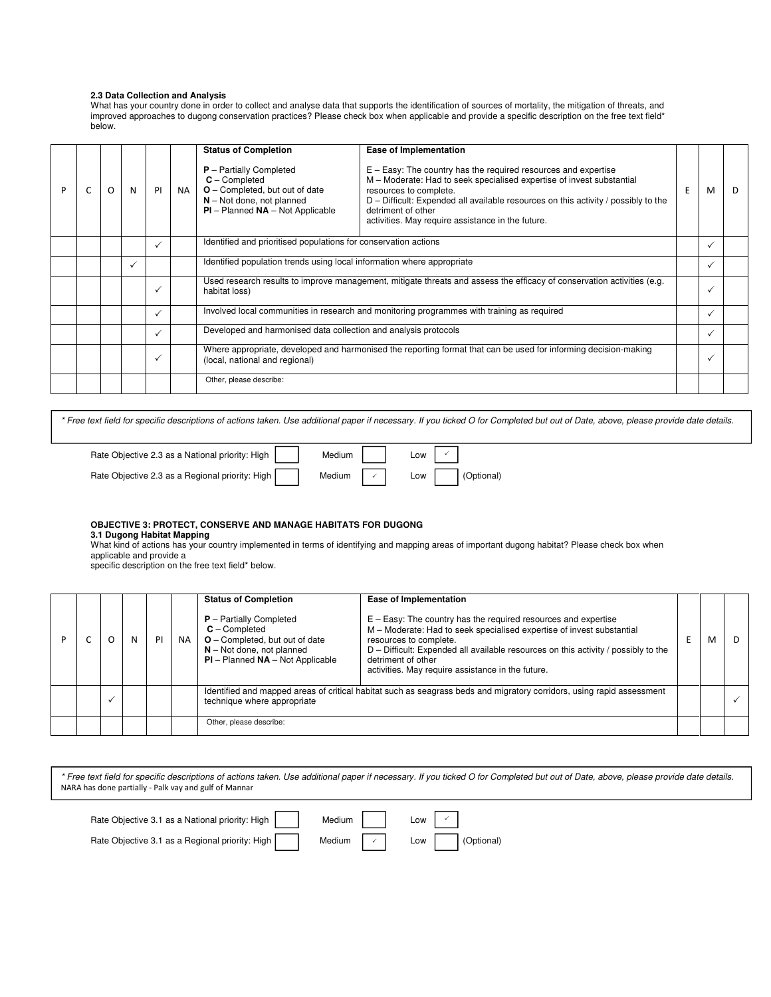# **2.3 Data Collection and Analysis**

What has your country done in order to collect and analyse data that supports the identification of sources of mortality, the mitigation of threats, and improved approaches to dugong conservation practices? Please check box when applicable and provide a specific description on the free text field\* below.

|  |   |   |              |           | <b>Status of Completion</b>                                                                                                                             | Ease of Implementation                                                                                                                                                                                                                                                                                                                |   |              |    |
|--|---|---|--------------|-----------|---------------------------------------------------------------------------------------------------------------------------------------------------------|---------------------------------------------------------------------------------------------------------------------------------------------------------------------------------------------------------------------------------------------------------------------------------------------------------------------------------------|---|--------------|----|
|  | O | N | PI           | <b>NA</b> | $P -$ Partially Completed<br>$C$ – Completed<br>$O$ – Completed, but out of date<br>$N - Not$ done, not planned<br>$PI$ – Planned $NA$ – Not Applicable | $E - Easy$ : The country has the required resources and expertise<br>M - Moderate: Had to seek specialised expertise of invest substantial<br>resources to complete.<br>D - Difficult: Expended all available resources on this activity / possibly to the<br>detriment of other<br>activities. May require assistance in the future. | E | м            | D. |
|  |   |   | $\checkmark$ |           | Identified and prioritised populations for conservation actions                                                                                         |                                                                                                                                                                                                                                                                                                                                       |   |              |    |
|  |   | ✓ |              |           | Identified population trends using local information where appropriate                                                                                  |                                                                                                                                                                                                                                                                                                                                       |   |              |    |
|  |   |   |              |           | habitat loss)                                                                                                                                           | Used research results to improve management, mitigate threats and assess the efficacy of conservation activities (e.g.                                                                                                                                                                                                                |   |              |    |
|  |   |   |              |           |                                                                                                                                                         | Involved local communities in research and monitoring programmes with training as required                                                                                                                                                                                                                                            |   |              |    |
|  |   |   | $\checkmark$ |           | Developed and harmonised data collection and analysis protocols                                                                                         |                                                                                                                                                                                                                                                                                                                                       |   |              |    |
|  |   |   |              |           | (local, national and regional)                                                                                                                          | Where appropriate, developed and harmonised the reporting format that can be used for informing decision-making                                                                                                                                                                                                                       |   | $\checkmark$ |    |
|  |   |   |              |           | Other, please describe:                                                                                                                                 |                                                                                                                                                                                                                                                                                                                                       |   |              |    |

\* Free text field for specific descriptions of actions taken. Use additional paper if necessary. If you ticked O for Completed but out of Date, above, please provide date details.

| Rate Objective 2.3 as a National priority: High | Medium | LOW |            |
|-------------------------------------------------|--------|-----|------------|
| Rate Objective 2.3 as a Regional priority: High | Medium | Low | (Optional) |

## **OBJECTIVE 3: PROTECT, CONSERVE AND MANAGE HABITATS FOR DUGONG**

**3.1 Dugong Habitat Mapping** 

What kind of actions has your country implemented in terms of identifying and mapping areas of important dugong habitat? Please check box when applicable and provide a

specific description on the free text field\* below.

|  | N | PI | <b>NA</b> | <b>Status of Completion</b><br>$P -$ Partially Completed<br>$C -$ Completed<br>$O$ – Completed, but out of date<br>$N - Not$ done, not planned<br>$PI - Planned NA - Not Applied$ | <b>Ease of Implementation</b><br>$E - Easy$ : The country has the required resources and expertise<br>M - Moderate: Had to seek specialised expertise of invest substantial<br>resources to complete.<br>$D$ – Difficult: Expended all available resources on this activity / possibly to the<br>detriment of other<br>activities. May require assistance in the future. | м |  |
|--|---|----|-----------|-----------------------------------------------------------------------------------------------------------------------------------------------------------------------------------|--------------------------------------------------------------------------------------------------------------------------------------------------------------------------------------------------------------------------------------------------------------------------------------------------------------------------------------------------------------------------|---|--|
|  |   |    |           | technique where appropriate                                                                                                                                                       | Identified and mapped areas of critical habitat such as seagrass beds and migratory corridors, using rapid assessment                                                                                                                                                                                                                                                    |   |  |
|  |   |    |           | Other, please describe:                                                                                                                                                           |                                                                                                                                                                                                                                                                                                                                                                          |   |  |

| Rate Objective 3.1 as a National priority: High | Medium                     | Low               |
|-------------------------------------------------|----------------------------|-------------------|
| Rate Objective 3.1 as a Regional priority: High | Medium $\vert \cdot \vert$ | (Optional)<br>Low |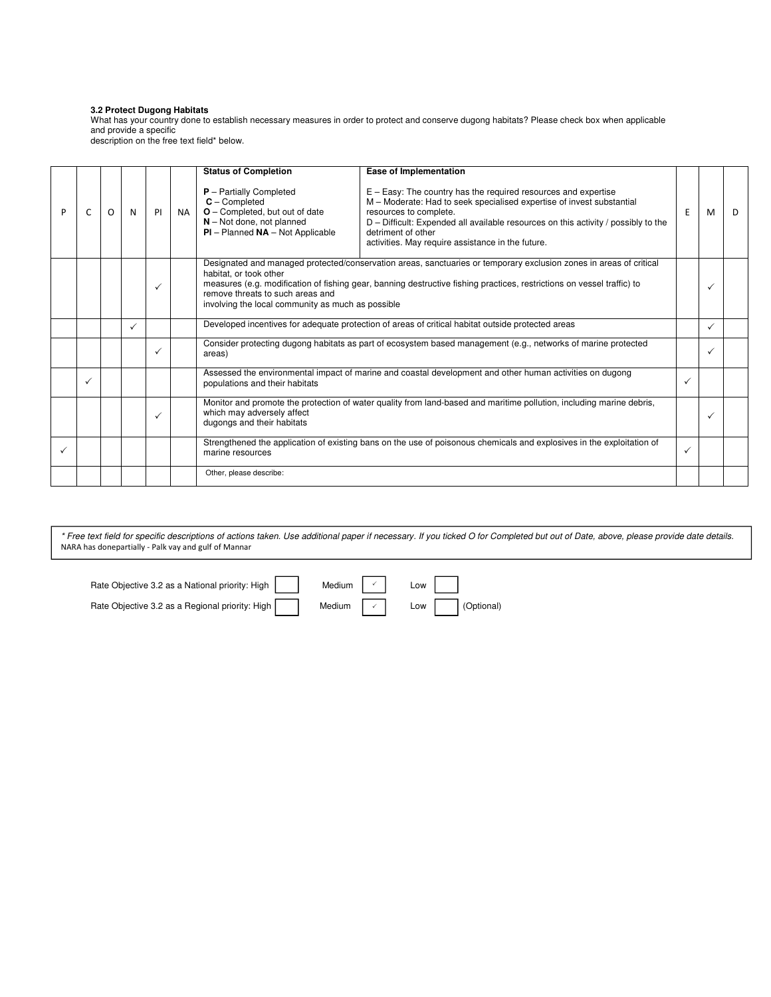#### **3.2 Protect Dugong Habitats**

What has your country done to establish necessary measures in order to protect and conserve dugong habitats? Please check box when applicable and provide a specific

description on the free text field\* below.

|   |   |   |   |              |           | <b>Status of Completion</b>                                                                                                                           | Ease of Implementation                                                                                                                                                                                                                                                                                                                |              |   |    |
|---|---|---|---|--------------|-----------|-------------------------------------------------------------------------------------------------------------------------------------------------------|---------------------------------------------------------------------------------------------------------------------------------------------------------------------------------------------------------------------------------------------------------------------------------------------------------------------------------------|--------------|---|----|
| P | C | O | N | PI           | <b>NA</b> | $P -$ Partially Completed<br>$C$ – Completed<br>O - Completed, but out of date<br>$N - Not$ done, not planned<br>$PI$ – Planned $NA$ – Not Applicable | $E - Easy$ : The country has the required resources and expertise<br>M - Moderate: Had to seek specialised expertise of invest substantial<br>resources to complete.<br>D - Difficult: Expended all available resources on this activity / possibly to the<br>detriment of other<br>activities. May require assistance in the future. |              | M | D. |
|   |   |   |   | ✓            |           | habitat, or took other<br>remove threats to such areas and                                                                                            | Designated and managed protected/conservation areas, sanctuaries or temporary exclusion zones in areas of critical<br>measures (e.g. modification of fishing gear, banning destructive fishing practices, restrictions on vessel traffic) to<br>involving the local community as much as possible                                     |              |   |    |
|   |   |   | ✓ |              |           |                                                                                                                                                       | Developed incentives for adequate protection of areas of critical habitat outside protected areas                                                                                                                                                                                                                                     |              |   |    |
|   |   |   |   | $\checkmark$ |           | areas)                                                                                                                                                | Consider protecting dugong habitats as part of ecosystem based management (e.g., networks of marine protected                                                                                                                                                                                                                         |              |   |    |
|   | ✓ |   |   |              |           | populations and their habitats                                                                                                                        | Assessed the environmental impact of marine and coastal development and other human activities on dugong                                                                                                                                                                                                                              | $\checkmark$ |   |    |
|   |   |   |   | ✓            |           | which may adversely affect<br>dugongs and their habitats                                                                                              | Monitor and promote the protection of water quality from land-based and maritime pollution, including marine debris,                                                                                                                                                                                                                  |              |   |    |
|   |   |   |   |              |           | marine resources                                                                                                                                      | Strengthened the application of existing bans on the use of poisonous chemicals and explosives in the exploitation of<br>$\checkmark$                                                                                                                                                                                                 |              |   |    |
|   |   |   |   |              |           | Other, please describe:                                                                                                                               |                                                                                                                                                                                                                                                                                                                                       |              |   |    |

| Rate Objective 3.2 as a National priority: High | Medium $\vert \ \cdot \ \vert$ Low $\vert$ |                              |
|-------------------------------------------------|--------------------------------------------|------------------------------|
| Rate Objective 3.2 as a Regional priority: High |                                            | Medium $\vee$ Low (Optional) |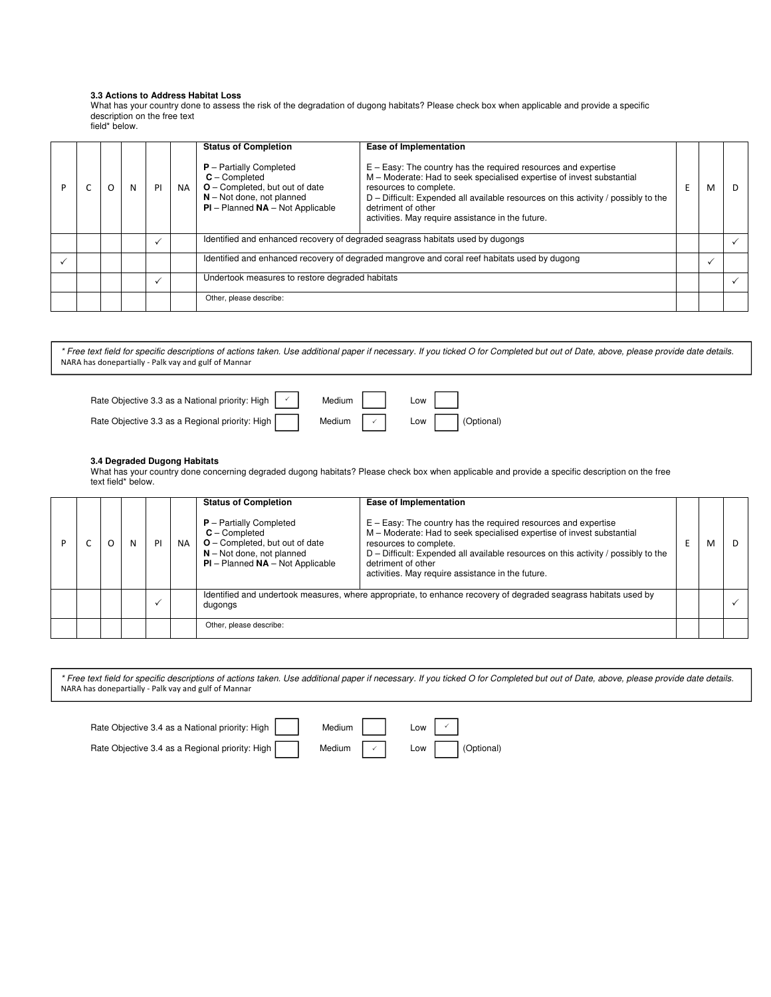#### **3.3 Actions to Address Habitat Loss**

What has your country done to assess the risk of the degradation of dugong habitats? Please check box when applicable and provide a specific description on the free text field\* below.

|  |  |    |     | <b>Status of Completion</b>                                                                                                                           | Ease of Implementation                                                                                                                                                                                                                                                                                                                  |   |   |    |
|--|--|----|-----|-------------------------------------------------------------------------------------------------------------------------------------------------------|-----------------------------------------------------------------------------------------------------------------------------------------------------------------------------------------------------------------------------------------------------------------------------------------------------------------------------------------|---|---|----|
|  |  | PI | NA. | $P$ – Partially Completed<br>$C -$ Completed<br>O - Completed, but out of date<br>$N - Not$ done, not planned<br>$PI$ – Planned $NA$ – Not Applicable | $E - Easy$ : The country has the required resources and expertise<br>M - Moderate: Had to seek specialised expertise of invest substantial<br>resources to complete.<br>$D$ – Difficult: Expended all available resources on this activity / possibly to the<br>detriment of other<br>activities. May require assistance in the future. | E | м | D. |
|  |  |    |     |                                                                                                                                                       | Identified and enhanced recovery of degraded seagrass habitats used by dugongs                                                                                                                                                                                                                                                          |   |   |    |
|  |  |    |     |                                                                                                                                                       | Identified and enhanced recovery of degraded mangrove and coral reef habitats used by dugong                                                                                                                                                                                                                                            |   |   |    |
|  |  |    |     | Undertook measures to restore degraded habitats                                                                                                       |                                                                                                                                                                                                                                                                                                                                         |   |   |    |
|  |  |    |     | Other, please describe:                                                                                                                               |                                                                                                                                                                                                                                                                                                                                         |   |   |    |

\* Free text field for specific descriptions of actions taken. Use additional paper if necessary. If you ticked O for Completed but out of Date, above, please provide date details. NARA has donepartially - Palk vay and gulf of Mannar

| Rate Objective 3.3 as a National priority: High $\vert \cdot \vert$ | Medium                         | Low |                  |
|---------------------------------------------------------------------|--------------------------------|-----|------------------|
| Rate Objective 3.3 as a Regional priority: High                     | Medium $\vert \ \cdot \ \vert$ |     | Low   (Optional) |

### **3.4 Degraded Dugong Habitats**

What has your country done concerning degraded dugong habitats? Please check box when applicable and provide a specific description on the free text field\* below.

|  |   |    |           | <b>Status of Completion</b>                                                                                                                             | Ease of Implementation                                                                                                                                                                                                                                                                                                                  |   |     |
|--|---|----|-----------|---------------------------------------------------------------------------------------------------------------------------------------------------------|-----------------------------------------------------------------------------------------------------------------------------------------------------------------------------------------------------------------------------------------------------------------------------------------------------------------------------------------|---|-----|
|  | N | PI | <b>NA</b> | $P -$ Partially Completed<br>$C -$ Completed<br>$O$ – Completed, but out of date<br>$N - Not$ done, not planned<br>$PI$ – Planned $NA$ – Not Applicable | $E - Easy$ : The country has the required resources and expertise<br>M - Moderate: Had to seek specialised expertise of invest substantial<br>resources to complete.<br>$D$ – Difficult: Expended all available resources on this activity / possibly to the<br>detriment of other<br>activities. May require assistance in the future. | м | - D |
|  |   |    |           | dugongs                                                                                                                                                 | Identified and undertook measures, where appropriate, to enhance recovery of degraded seagrass habitats used by                                                                                                                                                                                                                         |   |     |
|  |   |    |           | Other, please describe:                                                                                                                                 |                                                                                                                                                                                                                                                                                                                                         |   |     |

| Rate Objective 3.4 as a National priority: High | Medium                     | Low   |            |
|-------------------------------------------------|----------------------------|-------|------------|
| Rate Objective 3.4 as a Regional priority: High | Medium $\vert \cdot \vert$ | $Low$ | (Optional) |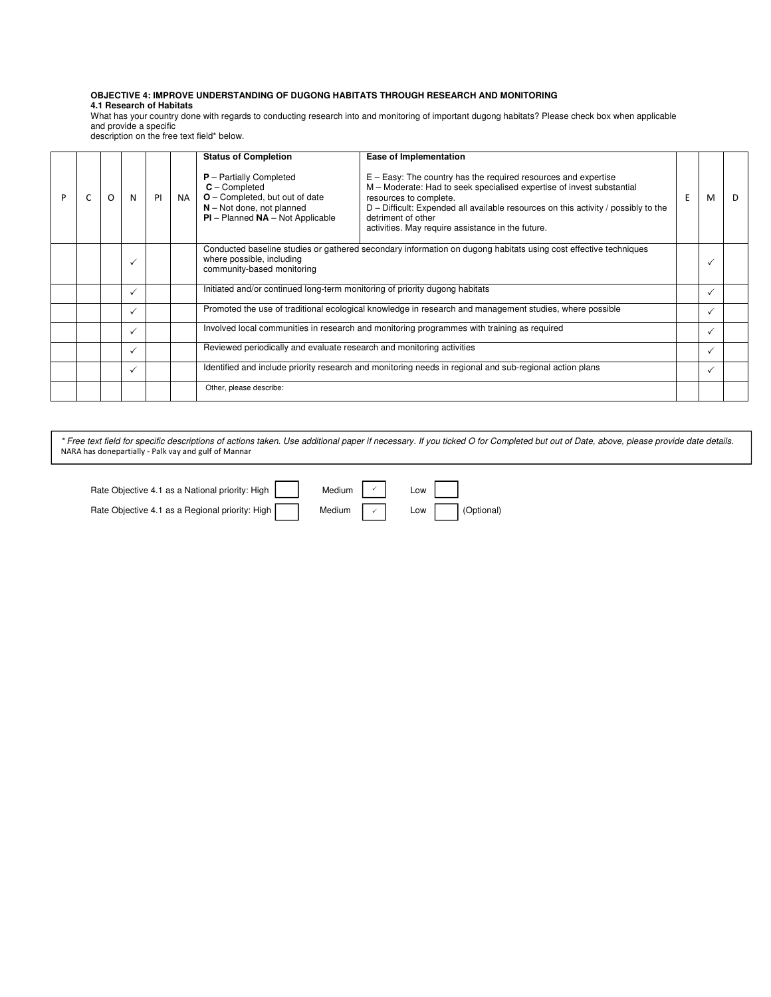#### **OBJECTIVE 4: IMPROVE UNDERSTANDING OF DUGONG HABITATS THROUGH RESEARCH AND MONITORING 4.1 Research of Habitats**

What has your country done with regards to conducting research into and monitoring of important dugong habitats? Please check box when applicable and provide a specific

description on the free text field\* below.

|   |   |              |    |     | <b>Status of Completion</b>                                                                                                                             | Ease of Implementation                                                                                                                                                                                                                                                                                                                |  |   |   |
|---|---|--------------|----|-----|---------------------------------------------------------------------------------------------------------------------------------------------------------|---------------------------------------------------------------------------------------------------------------------------------------------------------------------------------------------------------------------------------------------------------------------------------------------------------------------------------------|--|---|---|
| P | O | N            | PI | NA. | $P -$ Partially Completed<br>$C$ – Completed<br>$O$ – Completed, but out of date<br>$N - Not$ done, not planned<br>$PI$ – Planned $NA$ – Not Applicable | $E - Easy$ : The country has the required resources and expertise<br>M - Moderate: Had to seek specialised expertise of invest substantial<br>resources to complete.<br>D - Difficult: Expended all available resources on this activity / possibly to the<br>detriment of other<br>activities. May require assistance in the future. |  | м | D |
|   |   |              |    |     | where possible, including<br>community-based monitoring                                                                                                 | Conducted baseline studies or gathered secondary information on dugong habitats using cost effective techniques                                                                                                                                                                                                                       |  |   |   |
|   |   |              |    |     | Initiated and/or continued long-term monitoring of priority dugong habitats                                                                             |                                                                                                                                                                                                                                                                                                                                       |  |   |   |
|   |   | ✓            |    |     |                                                                                                                                                         | Promoted the use of traditional ecological knowledge in research and management studies, where possible                                                                                                                                                                                                                               |  |   |   |
|   |   | ✓            |    |     |                                                                                                                                                         | Involved local communities in research and monitoring programmes with training as required                                                                                                                                                                                                                                            |  |   |   |
|   |   | $\checkmark$ |    |     |                                                                                                                                                         | Reviewed periodically and evaluate research and monitoring activities                                                                                                                                                                                                                                                                 |  |   |   |
|   |   | ✓            |    |     |                                                                                                                                                         | Identified and include priority research and monitoring needs in regional and sub-regional action plans                                                                                                                                                                                                                               |  | ✓ |   |
|   |   |              |    |     | Other, please describe:                                                                                                                                 |                                                                                                                                                                                                                                                                                                                                       |  |   |   |

\* Free text field for specific descriptions of actions taken. Use additional paper if necessary. If you ticked O for Completed but out of Date, above, please provide date details. NARA has donepartially - Palk vay and gulf of Mannar

Rate Objective 4.1 as a National priority: High  $\vert \vert$  Medium  $\vert \vert$   $\vert$  Low Rate Objective 4.1 as a Regional priority: High Medium  $\Box$  Low  $\Box$  (Optional)  $\checkmark$  $\checkmark$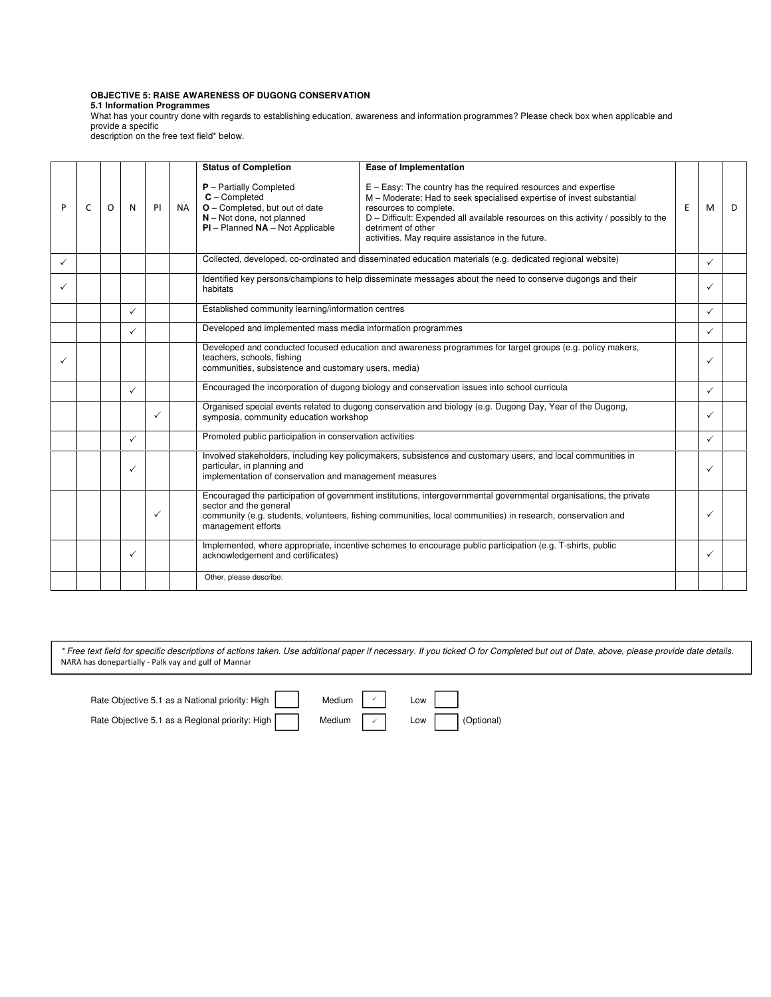# **OBJECTIVE 5: RAISE AWARENESS OF DUGONG CONSERVATION**

**5.1 Information Programmes** 

What has your country done with regards to establishing education, awareness and information programmes? Please check box when applicable and provide a specific

description on the free text field\* below.

|              |   |   |              |              |           | <b>Status of Completion</b>                                                                                                                           | Ease of Implementation                                                                                                                                                                                                                                                                                                                |  |              |   |
|--------------|---|---|--------------|--------------|-----------|-------------------------------------------------------------------------------------------------------------------------------------------------------|---------------------------------------------------------------------------------------------------------------------------------------------------------------------------------------------------------------------------------------------------------------------------------------------------------------------------------------|--|--------------|---|
| P            | C | O | N            | PI           | <b>NA</b> | $P$ – Partially Completed<br>$C$ – Completed<br>O - Completed, but out of date<br>$N - Not$ done, not planned<br>$PI$ – Planned $NA$ – Not Applicable | $E - Easy$ : The country has the required resources and expertise<br>M - Moderate: Had to seek specialised expertise of invest substantial<br>resources to complete.<br>D - Difficult: Expended all available resources on this activity / possibly to the<br>detriment of other<br>activities. May require assistance in the future. |  | M            | D |
| $\checkmark$ |   |   |              |              |           |                                                                                                                                                       | Collected, developed, co-ordinated and disseminated education materials (e.g. dedicated regional website)                                                                                                                                                                                                                             |  | $\checkmark$ |   |
|              |   |   |              |              |           | Identified key persons/champions to help disseminate messages about the need to conserve dugongs and their<br>habitats                                |                                                                                                                                                                                                                                                                                                                                       |  | ✓            |   |
|              |   |   | ✓            |              |           | Established community learning/information centres                                                                                                    |                                                                                                                                                                                                                                                                                                                                       |  | $\checkmark$ |   |
|              |   |   | ✓            |              |           |                                                                                                                                                       | Developed and implemented mass media information programmes                                                                                                                                                                                                                                                                           |  | $\checkmark$ |   |
| ✓            |   |   |              |              |           | teachers, schools, fishing                                                                                                                            | Developed and conducted focused education and awareness programmes for target groups (e.g. policy makers,<br>communities, subsistence and customary users, media)                                                                                                                                                                     |  |              |   |
|              |   |   | ✓            |              |           |                                                                                                                                                       | Encouraged the incorporation of dugong biology and conservation issues into school curricula                                                                                                                                                                                                                                          |  | $\checkmark$ |   |
|              |   |   |              | $\checkmark$ |           | symposia, community education workshop                                                                                                                | Organised special events related to dugong conservation and biology (e.g. Dugong Day, Year of the Dugong,                                                                                                                                                                                                                             |  |              |   |
|              |   |   | ✓            |              |           | Promoted public participation in conservation activities                                                                                              |                                                                                                                                                                                                                                                                                                                                       |  | $\checkmark$ |   |
|              |   |   | $\checkmark$ |              |           | particular, in planning and<br>implementation of conservation and management measures                                                                 | Involved stakeholders, including key policymakers, subsistence and customary users, and local communities in                                                                                                                                                                                                                          |  | ✓            |   |
|              |   |   |              | $\checkmark$ |           | sector and the general<br>management efforts                                                                                                          | Encouraged the participation of government institutions, intergovernmental governmental organisations, the private<br>community (e.g. students, volunteers, fishing communities, local communities) in research, conservation and                                                                                                     |  |              |   |
|              |   |   | ✓            |              |           | acknowledgement and certificates)                                                                                                                     | Implemented, where appropriate, incentive schemes to encourage public participation (e.g. T-shirts, public                                                                                                                                                                                                                            |  | ✓            |   |
|              |   |   |              |              |           | Other, please describe:                                                                                                                               |                                                                                                                                                                                                                                                                                                                                       |  |              |   |

| Rate Objective 5.1 as a National priority: High | Medium $\sim$ Low |                                                                                 |
|-------------------------------------------------|-------------------|---------------------------------------------------------------------------------|
| Rate Objective 5.1 as a Regional priority: High |                   | Medium $\boxed{\checkmark}$ Low $\boxed{\phantom{\text{max}}\space}$ (Optional) |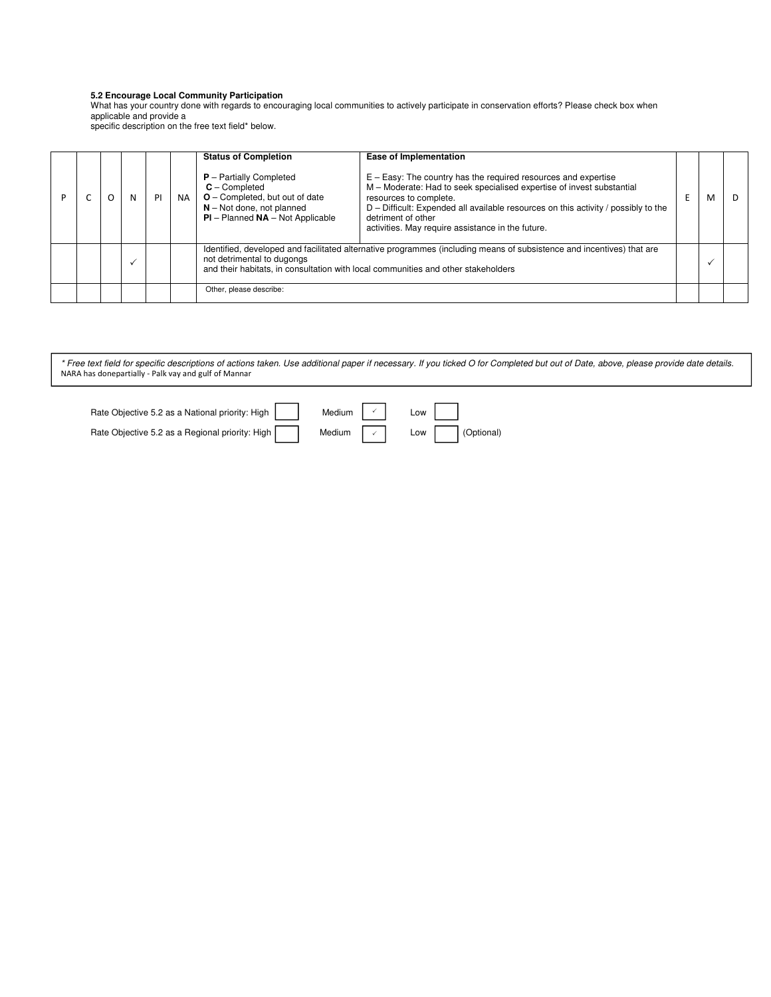#### **5.2 Encourage Local Community Participation**

What has your country done with regards to encouraging local communities to actively participate in conservation efforts? Please check box when applicable and provide a

specific description on the free text field\* below.

|  |  |    |           | <b>Status of Completion</b>                                                                                                                                                                                                              | Ease of Implementation                                                                                                                                                                                                                                                                                                                  |  |   |   |
|--|--|----|-----------|------------------------------------------------------------------------------------------------------------------------------------------------------------------------------------------------------------------------------------------|-----------------------------------------------------------------------------------------------------------------------------------------------------------------------------------------------------------------------------------------------------------------------------------------------------------------------------------------|--|---|---|
|  |  | PI | <b>NA</b> | $P -$ Partially Completed<br>$C -$ Completed<br>$O$ – Completed, but out of date<br>$N - Not$ done, not planned<br>$PI$ – Planned $NA$ – Not Applicable                                                                                  | $E - Easy$ : The country has the required resources and expertise<br>M - Moderate: Had to seek specialised expertise of invest substantial<br>resources to complete.<br>$D$ – Difficult: Expended all available resources on this activity / possibly to the<br>detriment of other<br>activities. May require assistance in the future. |  | м | Ð |
|  |  |    |           | Identified, developed and facilitated alternative programmes (including means of subsistence and incentives) that are<br>not detrimental to dugongs<br>and their habitats, in consultation with local communities and other stakeholders |                                                                                                                                                                                                                                                                                                                                         |  |   |   |
|  |  |    |           | Other, please describe:                                                                                                                                                                                                                  |                                                                                                                                                                                                                                                                                                                                         |  |   |   |

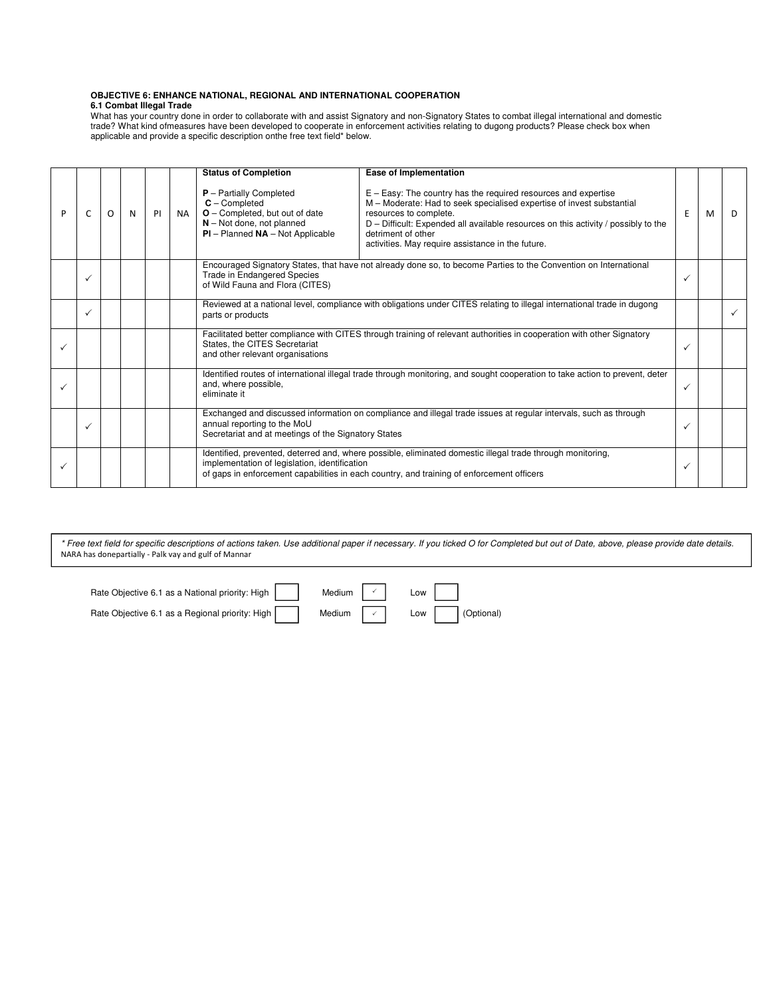#### **OBJECTIVE 6: ENHANCE NATIONAL, REGIONAL AND INTERNATIONAL COOPERATION 6.1 Combat Illegal Trade**

What has your country done in order to collaborate with and assist Signatory and non-Signatory States to combat illegal international and domestic trade? What kind ofmeasures have been developed to cooperate in enforcement activities relating to dugong products? Please check box when applicable and provide a specific description onthe free text field\* below.

|   |              |   |   |    |           | <b>Status of Completion</b>                                                                                                                                                                                                                                                                                                                                                                                                                                                                    | Ease of Implementation                                                                                                                                                  |              |   |    |
|---|--------------|---|---|----|-----------|------------------------------------------------------------------------------------------------------------------------------------------------------------------------------------------------------------------------------------------------------------------------------------------------------------------------------------------------------------------------------------------------------------------------------------------------------------------------------------------------|-------------------------------------------------------------------------------------------------------------------------------------------------------------------------|--------------|---|----|
| P | C            | O | N | PI | <b>NA</b> | $E - Easy$ : The country has the required resources and expertise<br>$P$ – Partially Completed<br>$C$ – Completed<br>M - Moderate: Had to seek specialised expertise of invest substantial<br>O - Completed, but out of date<br>resources to complete.<br>D - Difficult: Expended all available resources on this activity / possibly to the<br>$N - Not$ done, not planned<br>$PI$ – Planned $NA$ – Not Applicable<br>detriment of other<br>activities. May require assistance in the future. |                                                                                                                                                                         | E            | м | D. |
|   |              |   |   |    |           | Trade in Endangered Species<br>of Wild Fauna and Flora (CITES)                                                                                                                                                                                                                                                                                                                                                                                                                                 | Encouraged Signatory States, that have not already done so, to become Parties to the Convention on International<br>✓                                                   |              |   |    |
|   | $\checkmark$ |   |   |    |           | Reviewed at a national level, compliance with obligations under CITES relating to illegal international trade in dugong<br>parts or products                                                                                                                                                                                                                                                                                                                                                   |                                                                                                                                                                         |              |   |    |
|   |              |   |   |    |           | States, the CITES Secretariat<br>and other relevant organisations                                                                                                                                                                                                                                                                                                                                                                                                                              | Facilitated better compliance with CITES through training of relevant authorities in cooperation with other Signatory<br>✓                                              |              |   |    |
|   |              |   |   |    |           | and, where possible,<br>eliminate it                                                                                                                                                                                                                                                                                                                                                                                                                                                           | Identified routes of international illegal trade through monitoring, and sought cooperation to take action to prevent, deter                                            | $\checkmark$ |   |    |
|   |              |   |   |    |           | annual reporting to the MoU                                                                                                                                                                                                                                                                                                                                                                                                                                                                    | Exchanged and discussed information on compliance and illegal trade issues at regular intervals, such as through<br>Secretariat and at meetings of the Signatory States |              |   |    |
|   |              |   |   |    |           | Identified, prevented, deterred and, where possible, eliminated domestic illegal trade through monitoring,<br>implementation of legislation, identification<br>of gaps in enforcement capabilities in each country, and training of enforcement officers                                                                                                                                                                                                                                       |                                                                                                                                                                         |              |   |    |

| Rate Objective 6.1 as a National priority: High $\begin{vmatrix} 1 & 1 \end{vmatrix}$ Medium $\begin{vmatrix} 1 & 1 \end{vmatrix}$ Low $\begin{vmatrix} 1 & 1 \end{vmatrix}$ |  |  |  |
|------------------------------------------------------------------------------------------------------------------------------------------------------------------------------|--|--|--|
| Rate Objective 6.1 as a Regional priority: High Medium $\sim$ Low Optional)                                                                                                  |  |  |  |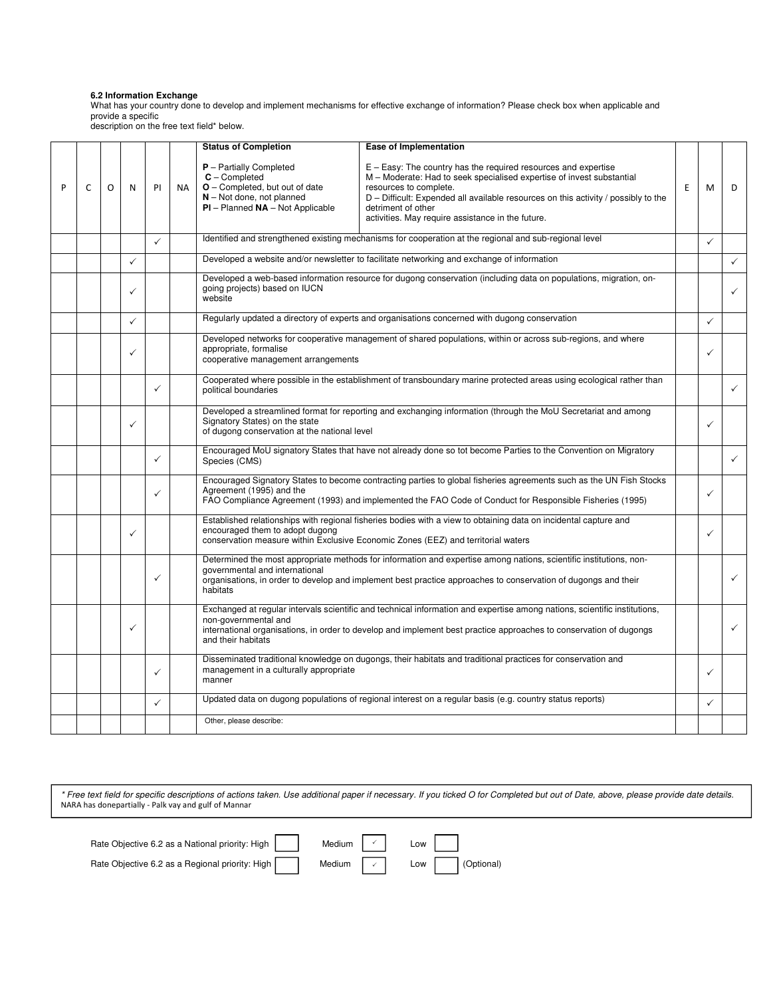#### **6.2 Information Exchange**

What has your country done to develop and implement mechanisms for effective exchange of information? Please check box when applicable and provide a specific

description on the free text field\* below.

| P | C | O | N            | PI           | <b>NA</b> | <b>Status of Completion</b><br>$P$ – Partially Completed<br>$C$ – Completed<br>O - Completed, but out of date<br>$N - Not$ done, not planned<br>$PI$ – Planned $NA$ – Not Applicable | <b>Ease of Implementation</b><br>$E - Easy$ : The country has the required resources and expertise<br>M - Moderate: Had to seek specialised expertise of invest substantial<br>resources to complete.<br>D – Difficult: Expended all available resources on this activity / possibly to the<br>detriment of other<br>activities. May require assistance in the future. | E | M | D            |
|---|---|---|--------------|--------------|-----------|--------------------------------------------------------------------------------------------------------------------------------------------------------------------------------------|------------------------------------------------------------------------------------------------------------------------------------------------------------------------------------------------------------------------------------------------------------------------------------------------------------------------------------------------------------------------|---|---|--------------|
|   |   |   |              | $\checkmark$ |           |                                                                                                                                                                                      | Identified and strengthened existing mechanisms for cooperation at the regional and sub-regional level                                                                                                                                                                                                                                                                 |   | ✓ |              |
|   |   |   | $\checkmark$ |              |           |                                                                                                                                                                                      | Developed a website and/or newsletter to facilitate networking and exchange of information                                                                                                                                                                                                                                                                             |   |   | $\checkmark$ |
|   |   |   | ✓            |              |           | going projects) based on IUCN<br>website                                                                                                                                             | Developed a web-based information resource for dugong conservation (including data on populations, migration, on-                                                                                                                                                                                                                                                      |   |   | $\checkmark$ |
|   |   |   | $\checkmark$ |              |           |                                                                                                                                                                                      | Regularly updated a directory of experts and organisations concerned with dugong conservation                                                                                                                                                                                                                                                                          |   | ✓ |              |
|   |   |   | $\checkmark$ |              |           | appropriate, formalise<br>cooperative management arrangements                                                                                                                        | Developed networks for cooperative management of shared populations, within or across sub-regions, and where                                                                                                                                                                                                                                                           |   |   |              |
|   |   |   |              | $\checkmark$ |           | political boundaries                                                                                                                                                                 | Cooperated where possible in the establishment of transboundary marine protected areas using ecological rather than                                                                                                                                                                                                                                                    |   |   | $\checkmark$ |
|   |   |   | $\checkmark$ |              |           | Signatory States) on the state                                                                                                                                                       | Developed a streamlined format for reporting and exchanging information (through the MoU Secretariat and among<br>of dugong conservation at the national level                                                                                                                                                                                                         |   |   |              |
|   |   |   |              | ✓            |           | Species (CMS)                                                                                                                                                                        | Encouraged MoU signatory States that have not already done so tot become Parties to the Convention on Migratory                                                                                                                                                                                                                                                        |   |   | $\checkmark$ |
|   |   |   |              | $\checkmark$ |           | Agreement (1995) and the                                                                                                                                                             | Encouraged Signatory States to become contracting parties to global fisheries agreements such as the UN Fish Stocks<br>FAO Compliance Agreement (1993) and implemented the FAO Code of Conduct for Responsible Fisheries (1995)                                                                                                                                        |   | ✓ |              |
|   |   |   | $\checkmark$ |              |           | encouraged them to adopt dugong                                                                                                                                                      | Established relationships with regional fisheries bodies with a view to obtaining data on incidental capture and<br>conservation measure within Exclusive Economic Zones (EEZ) and territorial waters                                                                                                                                                                  |   |   |              |
|   |   |   |              | ✓            |           | governmental and international<br>habitats                                                                                                                                           | Determined the most appropriate methods for information and expertise among nations, scientific institutions, non-<br>organisations, in order to develop and implement best practice approaches to conservation of dugongs and their                                                                                                                                   |   |   | $\checkmark$ |
|   |   |   | ✓            |              |           | non-governmental and<br>and their habitats                                                                                                                                           | Exchanged at regular intervals scientific and technical information and expertise among nations, scientific institutions,<br>international organisations, in order to develop and implement best practice approaches to conservation of dugongs                                                                                                                        |   |   | $\checkmark$ |
|   |   |   |              | $\checkmark$ |           | management in a culturally appropriate<br>manner                                                                                                                                     | Disseminated traditional knowledge on dugongs, their habitats and traditional practices for conservation and                                                                                                                                                                                                                                                           |   | ✓ |              |
|   |   |   |              | $\checkmark$ |           |                                                                                                                                                                                      | Updated data on dugong populations of regional interest on a regular basis (e.g. country status reports)                                                                                                                                                                                                                                                               |   | ✓ |              |
|   |   |   |              |              |           | Other, please describe:                                                                                                                                                              |                                                                                                                                                                                                                                                                                                                                                                        |   |   |              |

| Rate Objective 6.2 as a National priority: High | Medium $\vert \cdot \vert$ | Low |            |
|-------------------------------------------------|----------------------------|-----|------------|
| Rate Objective 6.2 as a Regional priority: High | Medium $\vert \cdot \vert$ | Low | (Optional) |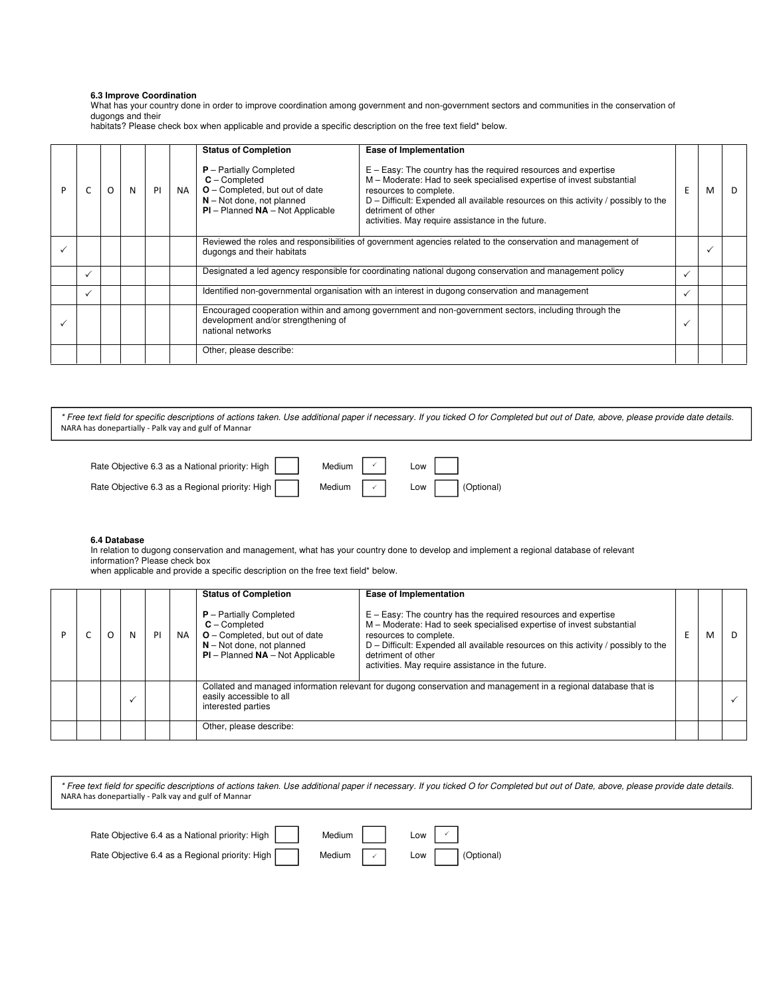# **6.3 Improve Coordination**

What has your country done in order to improve coordination among government and non-government sectors and communities in the conservation of dugongs and their

habitats? Please check box when applicable and provide a specific description on the free text field\* below.

|  |   |   |    |           | <b>Status of Completion</b>                                                                                                                                      | Ease of Implementation                                                                                                                                                                                                                                                                                                                |   |   |    |
|--|---|---|----|-----------|------------------------------------------------------------------------------------------------------------------------------------------------------------------|---------------------------------------------------------------------------------------------------------------------------------------------------------------------------------------------------------------------------------------------------------------------------------------------------------------------------------------|---|---|----|
|  | O | N | PI | <b>NA</b> | $P -$ Partially Completed<br>$C$ – Completed<br>$O$ – Completed, but out of date<br>$N - Not$ done, not planned<br>$PI$ – Planned $NA$ – Not Applicable          | $E - E$ asy: The country has the required resources and expertise<br>M – Moderate: Had to seek specialised expertise of invest substantial<br>resources to complete.<br>D - Difficult: Expended all available resources on this activity / possibly to the<br>detriment of other<br>activities. May require assistance in the future. | E | м | D. |
|  |   |   |    |           | dugongs and their habitats                                                                                                                                       | Reviewed the roles and responsibilities of government agencies related to the conservation and management of                                                                                                                                                                                                                          |   |   |    |
|  |   |   |    |           |                                                                                                                                                                  | Designated a led agency responsible for coordinating national dugong conservation and management policy                                                                                                                                                                                                                               |   |   |    |
|  |   |   |    |           |                                                                                                                                                                  | Identified non-governmental organisation with an interest in dugong conservation and management                                                                                                                                                                                                                                       |   |   |    |
|  |   |   |    |           | Encouraged cooperation within and among government and non-government sectors, including through the<br>development and/or strengthening of<br>national networks |                                                                                                                                                                                                                                                                                                                                       |   |   |    |
|  |   |   |    |           | Other, please describe:                                                                                                                                          |                                                                                                                                                                                                                                                                                                                                       |   |   |    |

\* Free text field for specific descriptions of actions taken. Use additional paper if necessary. If you ticked O for Completed but out of Date, above, please provide date details. NARA has donepartially - Palk vay and gulf of Mannar

| Rate Objective 6.3 as a National priority: High | Medium $\begin{array}{ c c c c c c }\n\hline\n\end{array}$ Low $\begin{array}{ c c c c }\n\hline\n\end{array}$ |  |                |
|-------------------------------------------------|----------------------------------------------------------------------------------------------------------------|--|----------------|
| Rate Objective 6.3 as a Regional priority: High | Medium $\vert \cdot \vert$                                                                                     |  | Low (Optional) |

# **6.4 Database**

In relation to dugong conservation and management, what has your country done to develop and implement a regional database of relevant information? Please check box

when applicable and provide a specific description on the free text field\* below.

|  | N | PI | <b>NA</b> | <b>Status of Completion</b><br>$P$ – Partially Completed<br>$C -$ Completed<br>$O$ – Completed, but out of date<br>$N - Not$ done, not planned<br>$PI$ – Planned $NA$ – Not Applicable | <b>Ease of Implementation</b><br>$E - Easy$ : The country has the required resources and expertise<br>M - Moderate: Had to seek specialised expertise of invest substantial<br>resources to complete.<br>$D$ – Difficult: Expended all available resources on this activity / possibly to the<br>detriment of other<br>activities. May require assistance in the future. |  |  |
|--|---|----|-----------|----------------------------------------------------------------------------------------------------------------------------------------------------------------------------------------|--------------------------------------------------------------------------------------------------------------------------------------------------------------------------------------------------------------------------------------------------------------------------------------------------------------------------------------------------------------------------|--|--|
|  |   |    |           | easily accessible to all<br>interested parties                                                                                                                                         | Collated and managed information relevant for dugong conservation and management in a regional database that is                                                                                                                                                                                                                                                          |  |  |
|  |   |    |           | Other, please describe:                                                                                                                                                                |                                                                                                                                                                                                                                                                                                                                                                          |  |  |

| Rate Objective 6.4 as a National priority: High | Medium                     | Low |            |
|-------------------------------------------------|----------------------------|-----|------------|
| Rate Objective 6.4 as a Regional priority: High | Medium $\vert \cdot \vert$ | Low | (Optional) |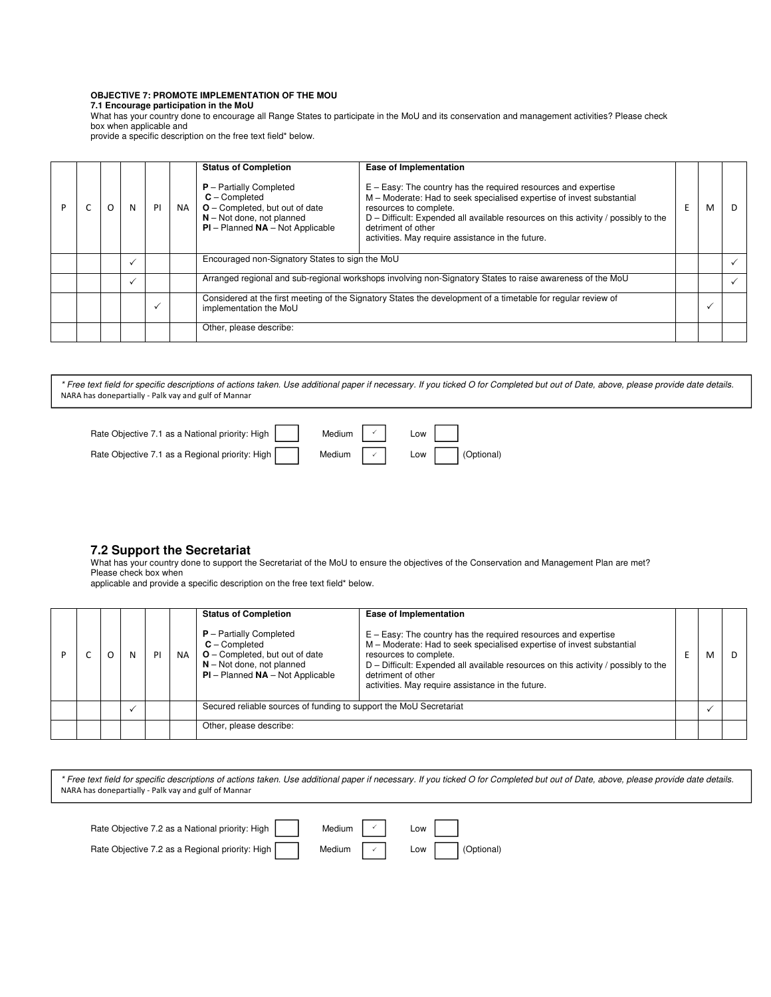# **OBJECTIVE 7: PROMOTE IMPLEMENTATION OF THE MOU**

**7.1 Encourage participation in the MoU** 

What has your country done to encourage all Range States to participate in the MoU and its conservation and management activities? Please check box when applicable and

provide a specific description on the free text field\* below.

| P |  | N | PI | <b>NA</b> | <b>Status of Completion</b><br>$P -$ Partially Completed<br>$C -$ Completed<br>$O$ – Completed, but out of date<br>$N - Not$ done, not planned<br>$PI$ – Planned $NA$ – Not Applicable | Ease of Implementation<br>$E - Easy$ : The country has the required resources and expertise<br>M - Moderate: Had to seek specialised expertise of invest substantial<br>resources to complete.<br>$D$ – Difficult: Expended all available resources on this activity / possibly to the<br>detriment of other<br>activities. May require assistance in the future. |  | м | D. |
|---|--|---|----|-----------|----------------------------------------------------------------------------------------------------------------------------------------------------------------------------------------|-------------------------------------------------------------------------------------------------------------------------------------------------------------------------------------------------------------------------------------------------------------------------------------------------------------------------------------------------------------------|--|---|----|
|   |  |   |    |           | Encouraged non-Signatory States to sign the MoU                                                                                                                                        |                                                                                                                                                                                                                                                                                                                                                                   |  |   |    |
|   |  |   |    |           |                                                                                                                                                                                        | Arranged regional and sub-regional workshops involving non-Signatory States to raise awareness of the MoU                                                                                                                                                                                                                                                         |  |   |    |
|   |  |   |    |           | implementation the MoU                                                                                                                                                                 | Considered at the first meeting of the Signatory States the development of a timetable for regular review of                                                                                                                                                                                                                                                      |  |   |    |
|   |  |   |    |           | Other, please describe:                                                                                                                                                                |                                                                                                                                                                                                                                                                                                                                                                   |  |   |    |

\* Free text field for specific descriptions of actions taken. Use additional paper if necessary. If you ticked O for Completed but out of Date, above, please provide date details. NARA has donepartially - Palk vay and gulf of Mannar



# **7.2 Support the Secretariat**

What has your country done to support the Secretariat of the MoU to ensure the objectives of the Conservation and Management Plan are met? Please check box when

applicable and provide a specific description on the free text field\* below.

|  |  | PI | <b>NA</b> | <b>Status of Completion</b><br>$P -$ Partially Completed<br>$C -$ Completed<br>$O$ – Completed, but out of date<br>$N - Not$ done, not planned<br>$PI$ – Planned $NA$ – Not Applicable | Ease of Implementation<br>$E - Easy$ : The country has the required resources and expertise<br>M – Moderate: Had to seek specialised expertise of invest substantial<br>resources to complete.<br>$D$ – Difficult: Expended all available resources on this activity / possibly to the<br>detriment of other<br>activities. May require assistance in the future. |  |  |
|--|--|----|-----------|----------------------------------------------------------------------------------------------------------------------------------------------------------------------------------------|-------------------------------------------------------------------------------------------------------------------------------------------------------------------------------------------------------------------------------------------------------------------------------------------------------------------------------------------------------------------|--|--|
|  |  |    |           | Secured reliable sources of funding to support the MoU Secretariat                                                                                                                     |                                                                                                                                                                                                                                                                                                                                                                   |  |  |
|  |  |    |           | Other, please describe:                                                                                                                                                                |                                                                                                                                                                                                                                                                                                                                                                   |  |  |

| Rate Objective 7.2 as a National priority: High | Medium $\vert \cdot \vert$ | Low   |            |
|-------------------------------------------------|----------------------------|-------|------------|
| Rate Objective 7.2 as a Regional priority: High | Medium $\vert \cdot \vert$ | Low I | (Optional) |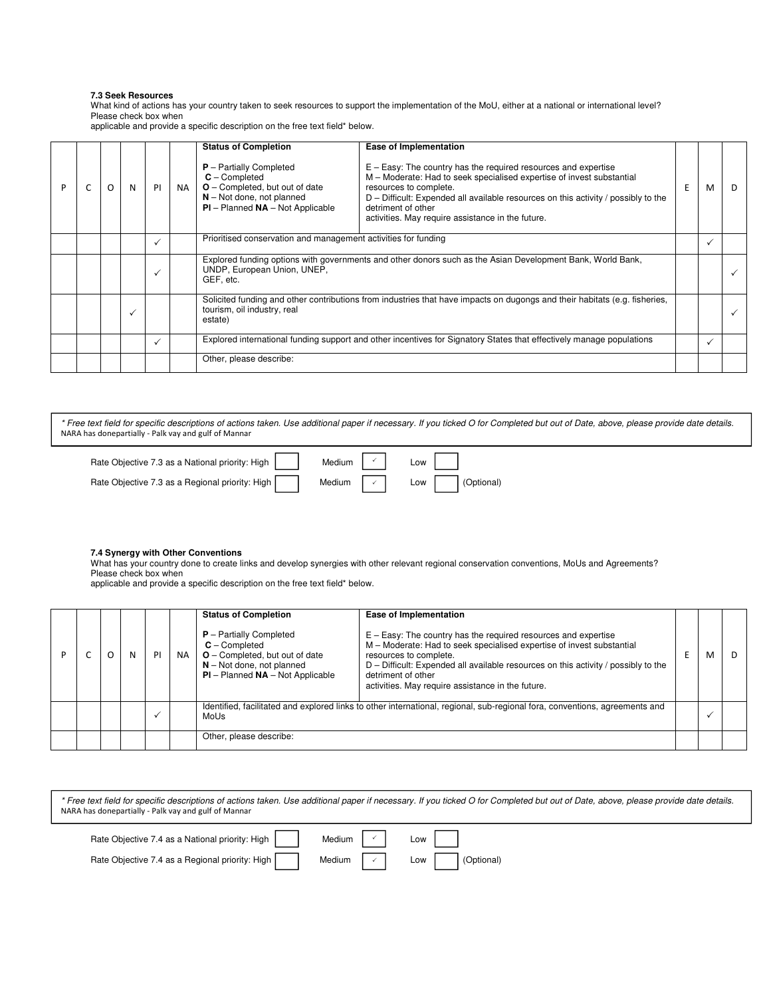# **7.3 Seek Resources**

What kind of actions has your country taken to seek resources to support the implementation of the MoU, either at a national or international level? Please check box when

applicable and provide a specific description on the free text field\* below.

|  | O | N | PI           | <b>NA</b> | <b>Status of Completion</b><br>$P$ – Partially Completed<br>$C$ – Completed<br><b>O</b> – Completed, but out of date<br>$N - Not$ done, not planned    | Ease of Implementation<br>$E - Easy$ : The country has the required resources and expertise<br>M - Moderate: Had to seek specialised expertise of invest substantial<br>resources to complete.<br>$D$ – Difficult: Expended all available resources on this activity / possibly to the | F | м | - D |
|--|---|---|--------------|-----------|--------------------------------------------------------------------------------------------------------------------------------------------------------|----------------------------------------------------------------------------------------------------------------------------------------------------------------------------------------------------------------------------------------------------------------------------------------|---|---|-----|
|  |   |   |              |           | $PI$ – Planned $NA$ – Not Applicable                                                                                                                   | detriment of other<br>activities. May require assistance in the future.                                                                                                                                                                                                                |   |   |     |
|  |   |   |              |           | Prioritised conservation and management activities for funding                                                                                         |                                                                                                                                                                                                                                                                                        |   |   |     |
|  |   |   |              |           | Explored funding options with governments and other donors such as the Asian Development Bank, World Bank,<br>UNDP, European Union, UNEP,<br>GEF, etc. |                                                                                                                                                                                                                                                                                        |   |   |     |
|  |   |   |              |           | tourism, oil industry, real<br>estate)                                                                                                                 | Solicited funding and other contributions from industries that have impacts on dugongs and their habitats (e.g. fisheries,                                                                                                                                                             |   |   |     |
|  |   |   | $\checkmark$ |           |                                                                                                                                                        | Explored international funding support and other incentives for Signatory States that effectively manage populations                                                                                                                                                                   |   |   |     |
|  |   |   |              |           | Other, please describe:                                                                                                                                |                                                                                                                                                                                                                                                                                        |   |   |     |

\* Free text field for specific descriptions of actions taken. Use additional paper if necessary. If you ticked O for Completed but out of Date, above, please provide date details. NARA has donepartially - Palk vay and gulf of Mannar

| Rate Objective 7.3 as a National priority: High | Medium $\vert \cdot \vert$ | Low |                  |
|-------------------------------------------------|----------------------------|-----|------------------|
| Rate Objective 7.3 as a Regional priority: High | Medium $\vert \cdot \vert$ |     | Low   (Optional) |

#### **7.4 Synergy with Other Conventions**

What has your country done to create links and develop synergies with other relevant regional conservation conventions, MoUs and Agreements? Please check box when

applicable and provide a specific description on the free text field\* below.

|  |  | PI | <b>NA</b> | <b>Status of Completion</b><br>$P -$ Partially Completed<br>$C -$ Completed<br>$O$ – Completed, but out of date<br>$N - Not$ done, not planned<br>$PI$ – Planned $NA$ – Not Applicable | <b>Ease of Implementation</b><br>$E - Easy$ : The country has the required resources and expertise<br>M - Moderate: Had to seek specialised expertise of invest substantial<br>resources to complete.<br>D - Difficult: Expended all available resources on this activity / possibly to the<br>detriment of other<br>activities. May require assistance in the future. |  |  |
|--|--|----|-----------|----------------------------------------------------------------------------------------------------------------------------------------------------------------------------------------|------------------------------------------------------------------------------------------------------------------------------------------------------------------------------------------------------------------------------------------------------------------------------------------------------------------------------------------------------------------------|--|--|
|  |  |    |           | Identified, facilitated and explored links to other international, regional, sub-regional fora, conventions, agreements and<br>MoUs                                                    |                                                                                                                                                                                                                                                                                                                                                                        |  |  |
|  |  |    |           | Other, please describe:                                                                                                                                                                |                                                                                                                                                                                                                                                                                                                                                                        |  |  |

| * Free text field for specific descriptions of actions taken. Use additional paper if necessary. If you ticked O for Completed but out of Date, above, please provide date details. |
|-------------------------------------------------------------------------------------------------------------------------------------------------------------------------------------|
| NARA has donepartially - Palk vay and gulf of Mannar                                                                                                                                |

| Rate Objective 7.4 as a National priority: High | Medium $\vert \cdot \vert$ | Low |            |
|-------------------------------------------------|----------------------------|-----|------------|
| Rate Objective 7.4 as a Regional priority: High | Medium $\vert \cdot \vert$ | Low | (Optional) |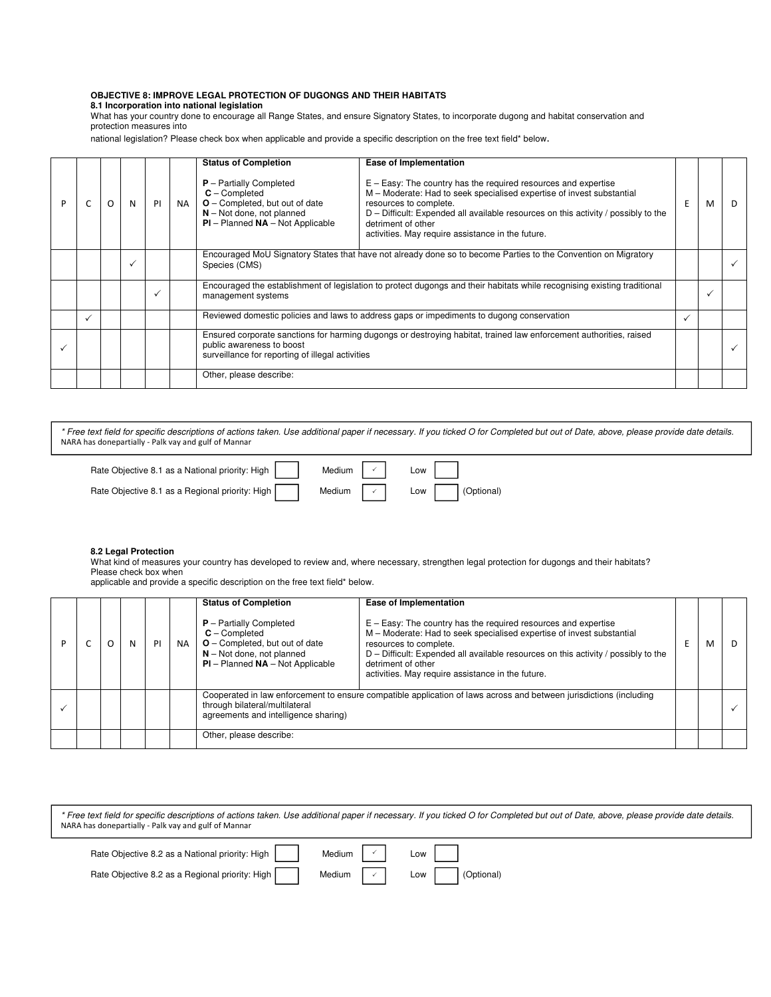# **OBJECTIVE 8: IMPROVE LEGAL PROTECTION OF DUGONGS AND THEIR HABITATS**

**8.1 Incorporation into national legislation** 

What has your country done to encourage all Range States, and ensure Signatory States, to incorporate dugong and habitat conservation and protection measures into

national legislation? Please check box when applicable and provide a specific description on the free text field\* below.

|  | O | N | PI | <b>NA</b> | <b>Status of Completion</b><br>$P -$ Partially Completed<br>$C$ – Completed<br><b>O</b> - Completed, but out of date<br>$N - Not$ done, not planned<br>$PI - Planned NA - Not Apollo$               | Ease of Implementation<br>$E - Easy$ : The country has the required resources and expertise<br>M - Moderate: Had to seek specialised expertise of invest substantial<br>resources to complete.<br>D - Difficult: Expended all available resources on this activity / possibly to the<br>detriment of other | E | м | D. |
|--|---|---|----|-----------|-----------------------------------------------------------------------------------------------------------------------------------------------------------------------------------------------------|------------------------------------------------------------------------------------------------------------------------------------------------------------------------------------------------------------------------------------------------------------------------------------------------------------|---|---|----|
|  |   |   |    |           |                                                                                                                                                                                                     | activities. May require assistance in the future.                                                                                                                                                                                                                                                          |   |   |    |
|  |   |   |    |           | Encouraged MoU Signatory States that have not already done so to become Parties to the Convention on Migratory<br>Species (CMS)                                                                     |                                                                                                                                                                                                                                                                                                            |   |   |    |
|  |   |   |    |           | management systems                                                                                                                                                                                  | Encouraged the establishment of legislation to protect dugongs and their habitats while recognising existing traditional                                                                                                                                                                                   |   |   |    |
|  |   |   |    |           |                                                                                                                                                                                                     | Reviewed domestic policies and laws to address gaps or impediments to dugong conservation                                                                                                                                                                                                                  |   |   |    |
|  |   |   |    |           | Ensured corporate sanctions for harming dugongs or destroying habitat, trained law enforcement authorities, raised<br>public awareness to boost<br>surveillance for reporting of illegal activities |                                                                                                                                                                                                                                                                                                            |   |   |    |
|  |   |   |    |           | Other, please describe:                                                                                                                                                                             |                                                                                                                                                                                                                                                                                                            |   |   |    |

\* Free text field for specific descriptions of actions taken. Use additional paper if necessary. If you ticked O for Completed but out of Date, above, please provide date details. NARA has donepartially - Palk vay and gulf of Mannar

| Rate Objective 8.1 as a National priority: High | Medium $\vert \cdot \vert$ | Low |            |
|-------------------------------------------------|----------------------------|-----|------------|
| Rate Objective 8.1 as a Regional priority: High | Medium $\vert \cdot \vert$ | Low | (Optional) |

## **8.2 Legal Protection**

What kind of measures your country has developed to review and, where necessary, strengthen legal protection for dugongs and their habitats? Please check box when

applicable and provide a specific description on the free text field\* below.

|  | N | PI | <b>NA</b> | <b>Status of Completion</b><br>$P$ – Partially Completed<br>$C -$ Completed<br>$O$ – Completed, but out of date<br>$N - Not$ done, not planned<br>$PI$ – Planned $NA$ – Not Applicable | Ease of Implementation<br>$E - Easy$ : The country has the required resources and expertise<br>M - Moderate: Had to seek specialised expertise of invest substantial<br>resources to complete.<br>$D$ – Difficult: Expended all available resources on this activity / possibly to the<br>detriment of other<br>activities. May require assistance in the future. | M |  |
|--|---|----|-----------|----------------------------------------------------------------------------------------------------------------------------------------------------------------------------------------|-------------------------------------------------------------------------------------------------------------------------------------------------------------------------------------------------------------------------------------------------------------------------------------------------------------------------------------------------------------------|---|--|
|  |   |    |           | through bilateral/multilateral<br>agreements and intelligence sharing)                                                                                                                 | Cooperated in law enforcement to ensure compatible application of laws across and between jurisdictions (including                                                                                                                                                                                                                                                |   |  |
|  |   |    |           | Other, please describe:                                                                                                                                                                |                                                                                                                                                                                                                                                                                                                                                                   |   |  |

| NARA has donepartially - Palk vay and gulf of Mannar                                | * Free text field for specific descriptions of actions taken. Use additional paper if necessary. If you ticked O for Completed but out of Date, above, please provide date details. |
|-------------------------------------------------------------------------------------|-------------------------------------------------------------------------------------------------------------------------------------------------------------------------------------|
| Rate Objective 8.2 as a National priority: High  <br>Medium $\vert \ \cdot \ \vert$ | Low I                                                                                                                                                                               |

 $\checkmark$ 

Rate Objective 8.2 as a Regional priority: High Medium  $\vee$  Low (Optional)

| <b>OW</b> | (Optiona |
|-----------|----------|